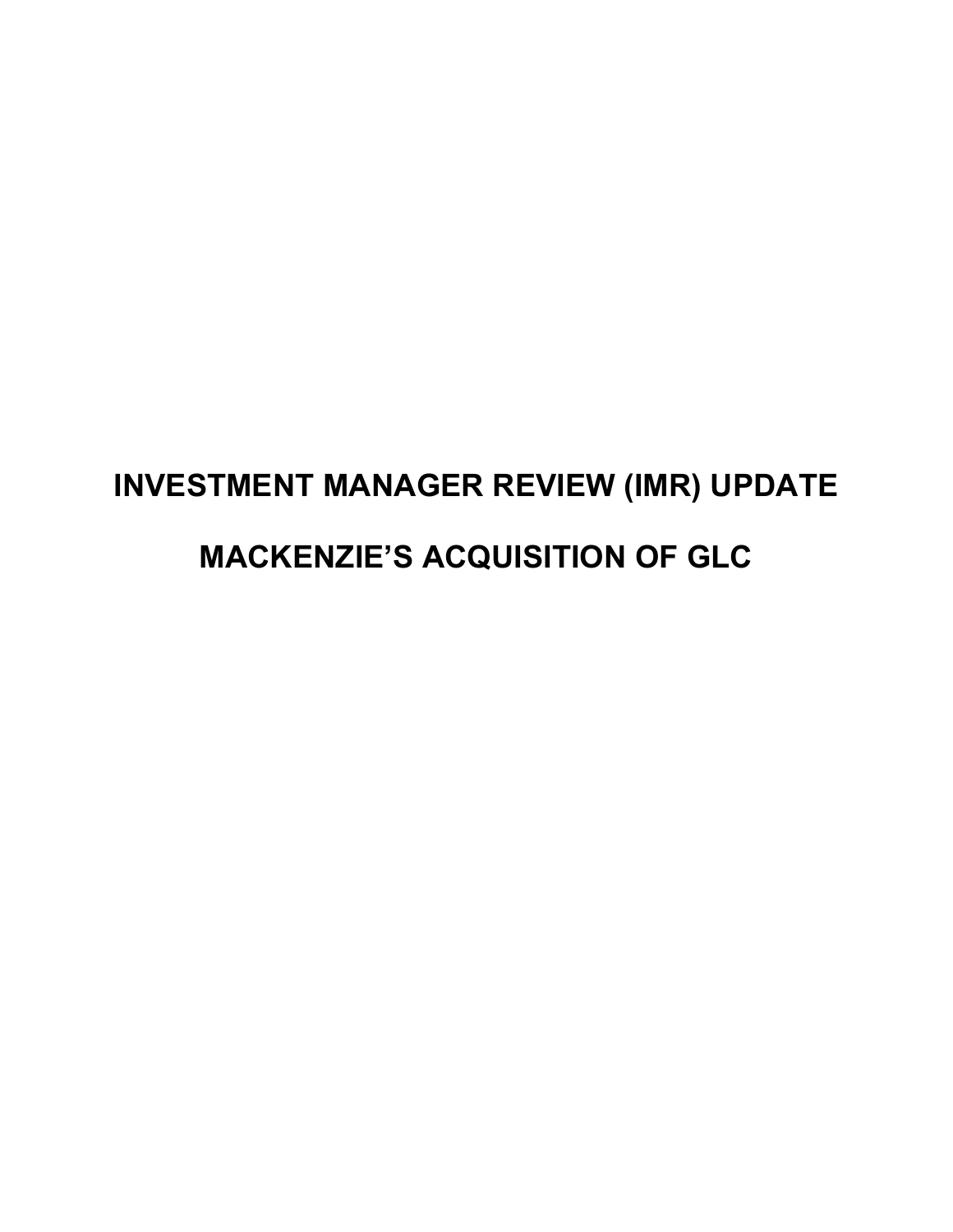# **INVESTMENT MANAGER REVIEW (IMR) UPDATE MACKENZIE'S ACQUISITION OF GLC**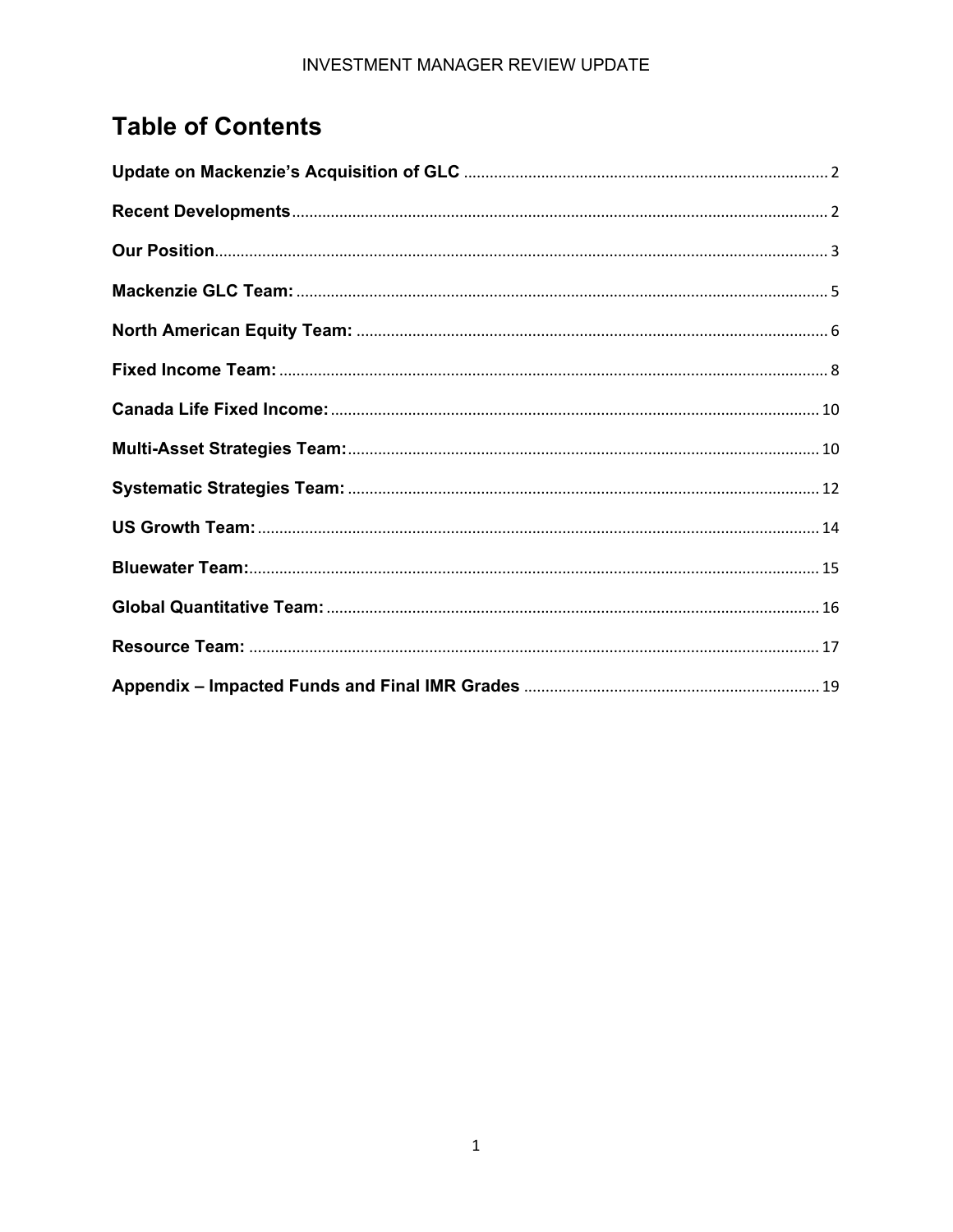# **Table of Contents**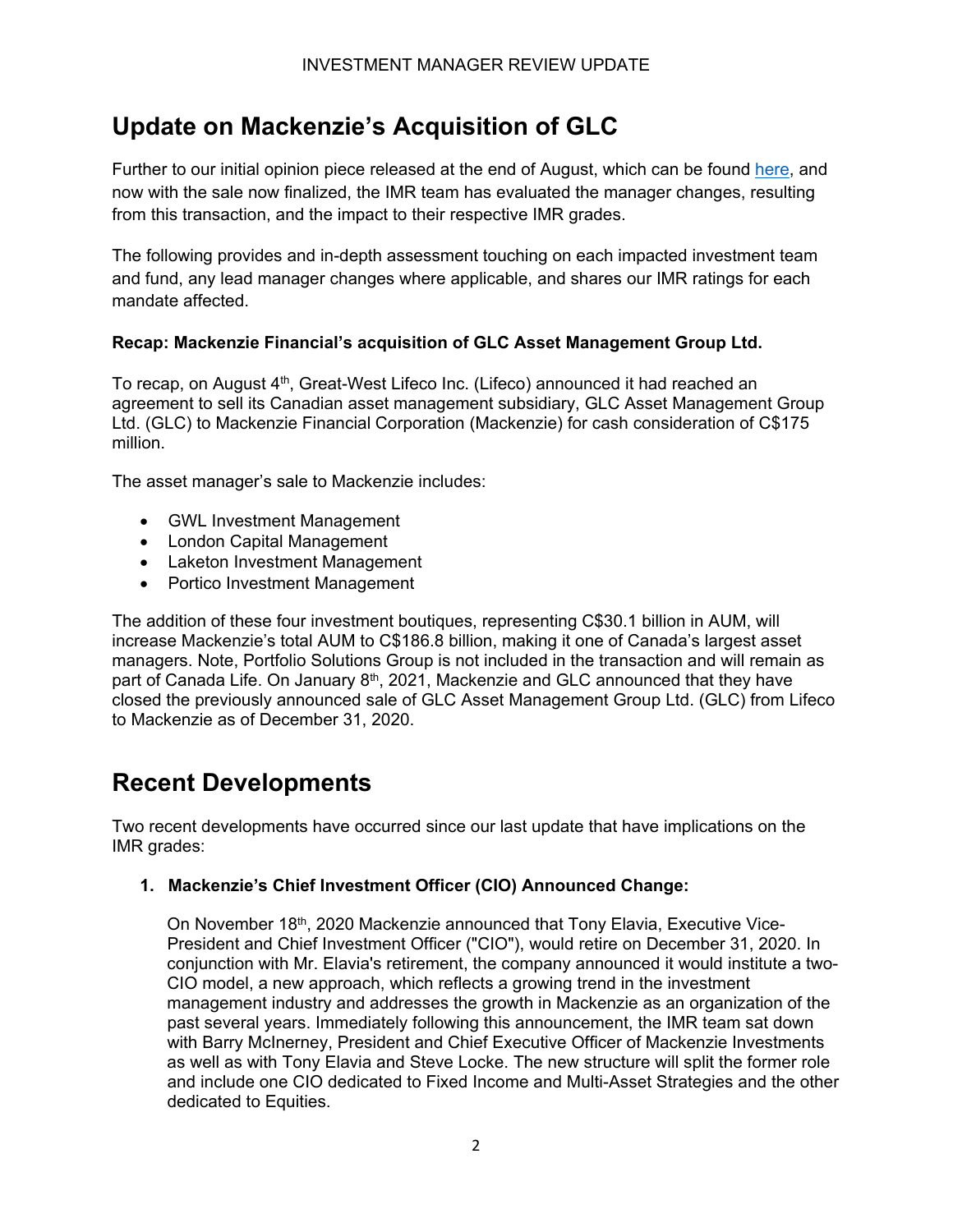# <span id="page-2-0"></span>**Update on Mackenzie's Acquisition of GLC**

Further to our initial opinion piece released at the end of August, which can be found [here](https://ssl.grsaccess.com/GRSAsset/media/177924/imr-update-on-mackenzie-s-acquisition-of-glc.pdf), and now with the sale now finalized, the IMR team has evaluated the manager changes, resulting from this transaction, and the impact to their respective IMR grades.

The following provides and in-depth assessment touching on each impacted investment team and fund, any lead manager changes where applicable, and shares our IMR ratings for each mandate affected.

#### **Recap: Mackenzie Financial's acquisition of GLC Asset Management Group Ltd.**

To recap, on August  $4<sup>th</sup>$ , Great-West Lifeco Inc. (Lifeco) announced it had reached an agreement to sell its Canadian asset management subsidiary, GLC Asset Management Group Ltd. (GLC) to Mackenzie Financial Corporation (Mackenzie) for cash consideration of C\$175 million.

The asset manager's sale to Mackenzie includes:

- GWL Investment Management
- London Capital Management
- Laketon Investment Management
- Portico Investment Management

The addition of these four investment boutiques, representing C\$30.1 billion in AUM, will increase Mackenzie's total AUM to C\$186.8 billion, making it one of Canada's largest asset managers. Note, Portfolio Solutions Group is not included in the transaction and will remain as part of Canada Life. On January 8<sup>th</sup>, 2021, Mackenzie and GLC announced that they have closed the previously announced sale of GLC Asset Management Group Ltd. (GLC) from Lifeco to Mackenzie as of December 31, 2020.

## <span id="page-2-1"></span>**Recent Developments**

Two recent developments have occurred since our last update that have implications on the IMR grades:

#### **1. Mackenzie's Chief Investment Officer (CIO) Announced Change:**

On November 18<sup>th</sup>, 2020 Mackenzie announced that Tony Elavia, Executive Vice-President and Chief Investment Officer ("CIO"), would retire on December 31, 2020. In conjunction with Mr. Elavia's retirement, the company announced it would institute a two-CIO model, a new approach, which reflects a growing trend in the investment management industry and addresses the growth in Mackenzie as an organization of the past several years. Immediately following this announcement, the IMR team sat down with Barry McInerney, President and Chief Executive Officer of Mackenzie Investments as well as with Tony Elavia and Steve Locke. The new structure will split the former role and include one CIO dedicated to Fixed Income and Multi-Asset Strategies and the other dedicated to Equities.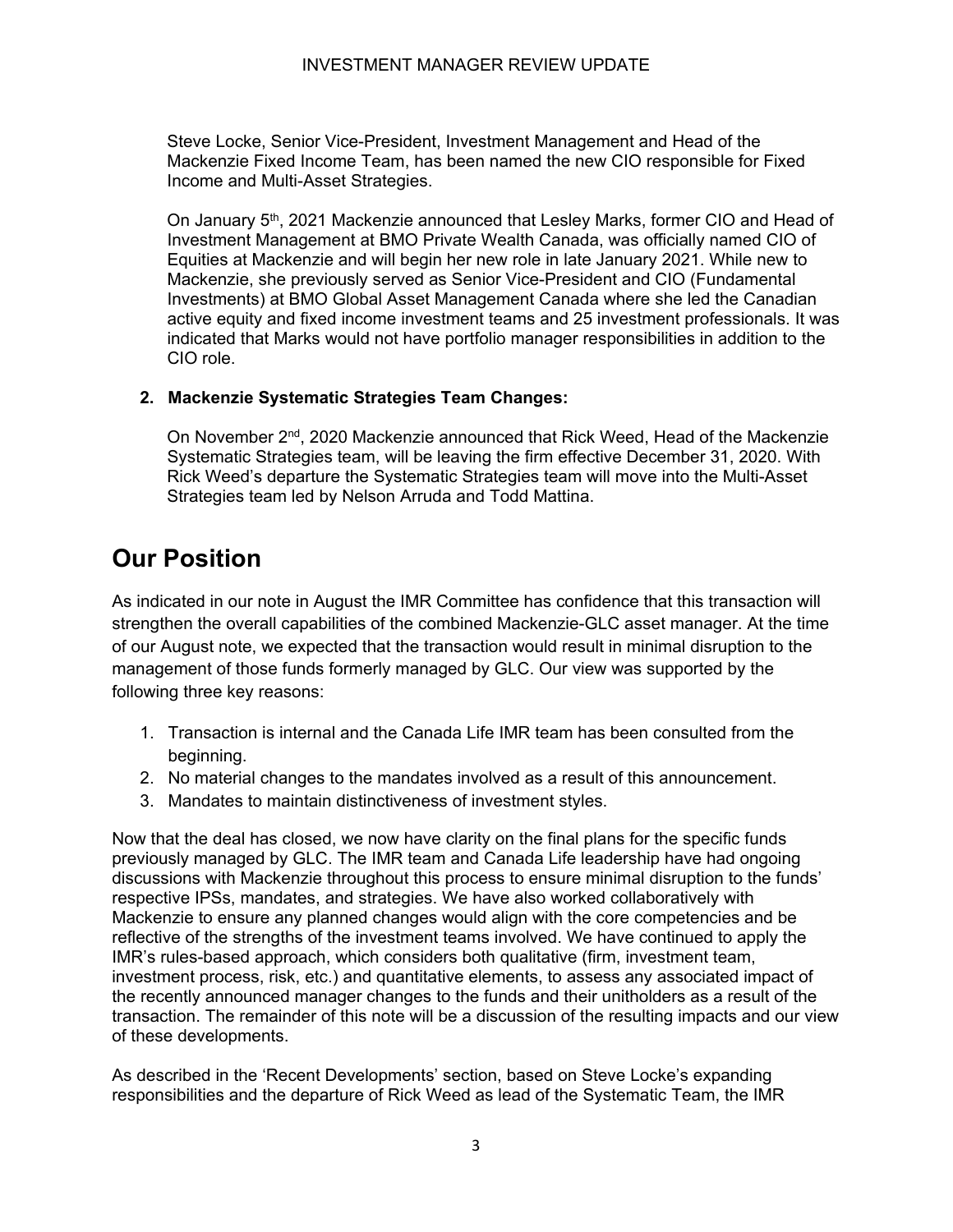Steve Locke, Senior Vice-President, Investment Management and Head of the Mackenzie Fixed Income Team, has been named the new CIO responsible for Fixed Income and Multi-Asset Strategies.

On January  $5<sup>th</sup>$ , 2021 Mackenzie announced that Lesley Marks, former CIO and Head of Investment Management at BMO Private Wealth Canada, was officially named CIO of Equities at Mackenzie and will begin her new role in late January 2021. While new to Mackenzie, she previously served as Senior Vice-President and CIO (Fundamental Investments) at BMO Global Asset Management Canada where she led the Canadian active equity and fixed income investment teams and 25 investment professionals. It was indicated that Marks would not have portfolio manager responsibilities in addition to the CIO role.

#### **2. Mackenzie Systematic Strategies Team Changes:**

On November 2<sup>nd</sup>, 2020 Mackenzie announced that Rick Weed, Head of the Mackenzie Systematic Strategies team, will be leaving the firm effective December 31, 2020. With Rick Weed's departure the Systematic Strategies team will move into the Multi-Asset Strategies team led by Nelson Arruda and Todd Mattina.

# <span id="page-3-0"></span>**Our Position**

As indicated in our note in August the IMR Committee has confidence that this transaction will strengthen the overall capabilities of the combined Mackenzie-GLC asset manager. At the time of our August note, we expected that the transaction would result in minimal disruption to the management of those funds formerly managed by GLC. Our view was supported by the following three key reasons:

- 1. Transaction is internal and the Canada Life IMR team has been consulted from the beginning.
- 2. No material changes to the mandates involved as a result of this announcement.
- 3. Mandates to maintain distinctiveness of investment styles.

Now that the deal has closed, we now have clarity on the final plans for the specific funds previously managed by GLC. The IMR team and Canada Life leadership have had ongoing discussions with Mackenzie throughout this process to ensure minimal disruption to the funds' respective IPSs, mandates, and strategies. We have also worked collaboratively with Mackenzie to ensure any planned changes would align with the core competencies and be reflective of the strengths of the investment teams involved. We have continued to apply the IMR's rules-based approach, which considers both qualitative (firm, investment team, investment process, risk, etc.) and quantitative elements, to assess any associated impact of the recently announced manager changes to the funds and their unitholders as a result of the transaction. The remainder of this note will be a discussion of the resulting impacts and our view of these developments.

As described in the 'Recent Developments' section, based on Steve Locke's expanding responsibilities and the departure of Rick Weed as lead of the Systematic Team, the IMR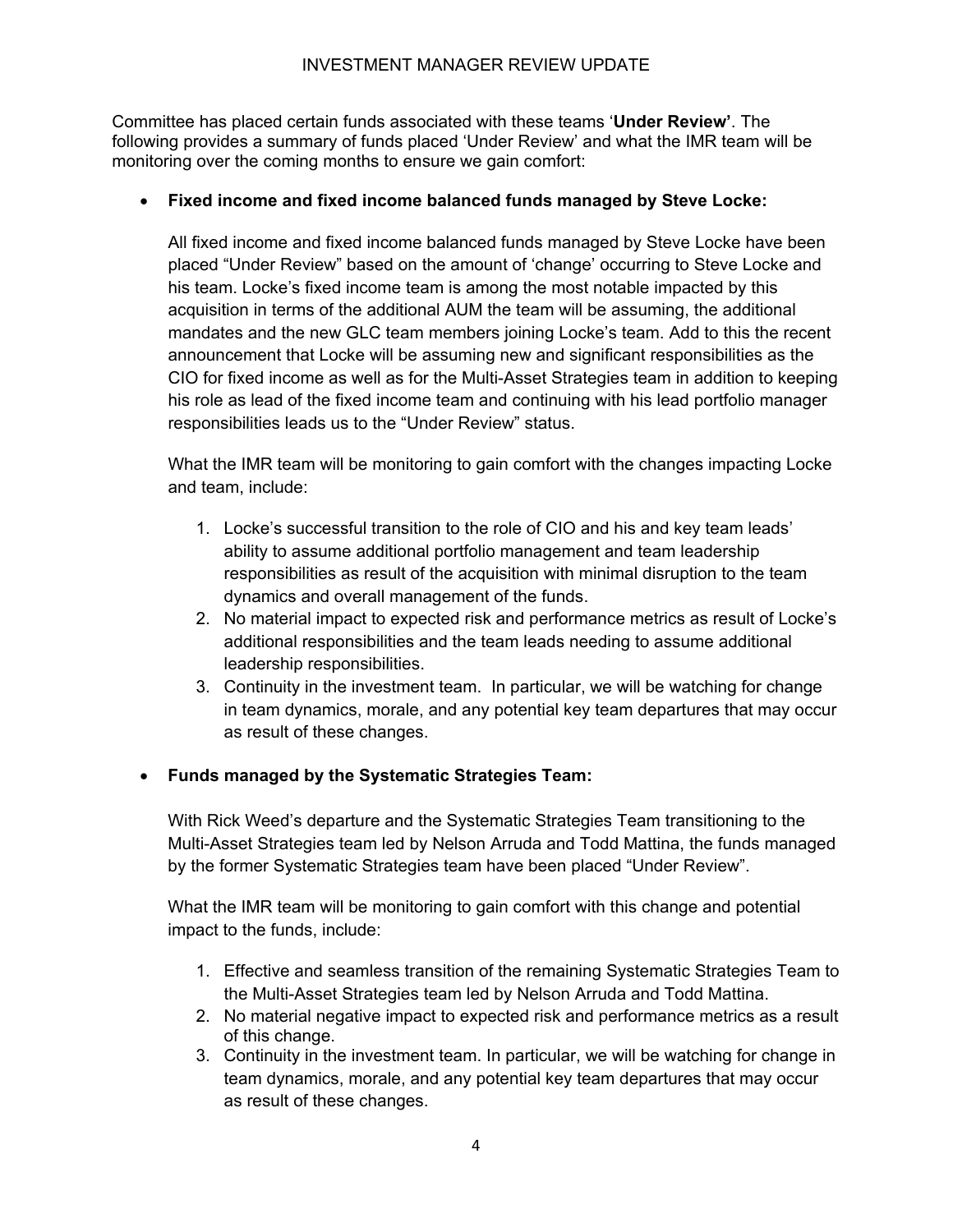Committee has placed certain funds associated with these teams '**Under Review'**. The following provides a summary of funds placed 'Under Review' and what the IMR team will be monitoring over the coming months to ensure we gain comfort:

#### • **Fixed income and fixed income balanced funds managed by Steve Locke:**

All fixed income and fixed income balanced funds managed by Steve Locke have been placed "Under Review" based on the amount of 'change' occurring to Steve Locke and his team. Locke's fixed income team is among the most notable impacted by this acquisition in terms of the additional AUM the team will be assuming, the additional mandates and the new GLC team members joining Locke's team. Add to this the recent announcement that Locke will be assuming new and significant responsibilities as the CIO for fixed income as well as for the Multi-Asset Strategies team in addition to keeping his role as lead of the fixed income team and continuing with his lead portfolio manager responsibilities leads us to the "Under Review" status.

What the IMR team will be monitoring to gain comfort with the changes impacting Locke and team, include:

- 1. Locke's successful transition to the role of CIO and his and key team leads' ability to assume additional portfolio management and team leadership responsibilities as result of the acquisition with minimal disruption to the team dynamics and overall management of the funds.
- 2. No material impact to expected risk and performance metrics as result of Locke's additional responsibilities and the team leads needing to assume additional leadership responsibilities.
- 3. Continuity in the investment team. In particular, we will be watching for change in team dynamics, morale, and any potential key team departures that may occur as result of these changes.

#### • **Funds managed by the Systematic Strategies Team:**

With Rick Weed's departure and the Systematic Strategies Team transitioning to the Multi-Asset Strategies team led by Nelson Arruda and Todd Mattina, the funds managed by the former Systematic Strategies team have been placed "Under Review".

What the IMR team will be monitoring to gain comfort with this change and potential impact to the funds, include:

- 1. Effective and seamless transition of the remaining Systematic Strategies Team to the Multi-Asset Strategies team led by Nelson Arruda and Todd Mattina.
- 2. No material negative impact to expected risk and performance metrics as a result of this change.
- 3. Continuity in the investment team. In particular, we will be watching for change in team dynamics, morale, and any potential key team departures that may occur as result of these changes.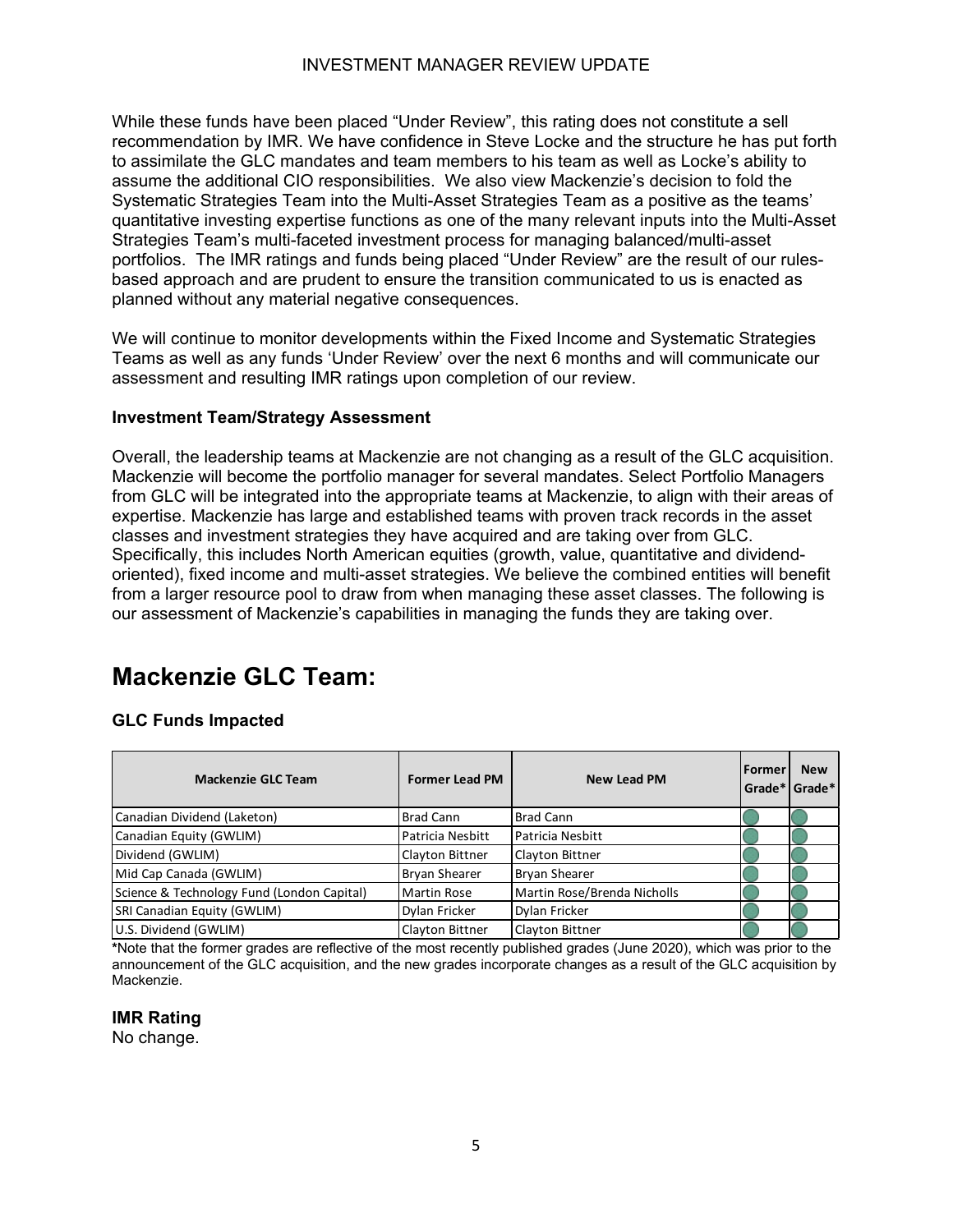While these funds have been placed "Under Review", this rating does not constitute a sell recommendation by IMR. We have confidence in Steve Locke and the structure he has put forth to assimilate the GLC mandates and team members to his team as well as Locke's ability to assume the additional CIO responsibilities. We also view Mackenzie's decision to fold the Systematic Strategies Team into the Multi-Asset Strategies Team as a positive as the teams' quantitative investing expertise functions as one of the many relevant inputs into the Multi-Asset Strategies Team's multi-faceted investment process for managing balanced/multi-asset portfolios. The IMR ratings and funds being placed "Under Review" are the result of our rulesbased approach and are prudent to ensure the transition communicated to us is enacted as planned without any material negative consequences.

We will continue to monitor developments within the Fixed Income and Systematic Strategies Teams as well as any funds 'Under Review' over the next 6 months and will communicate our assessment and resulting IMR ratings upon completion of our review.

#### **Investment Team/Strategy Assessment**

Overall, the leadership teams at Mackenzie are not changing as a result of the GLC acquisition. Mackenzie will become the portfolio manager for several mandates. Select Portfolio Managers from GLC will be integrated into the appropriate teams at Mackenzie, to align with their areas of expertise. Mackenzie has large and established teams with proven track records in the asset classes and investment strategies they have acquired and are taking over from GLC. Specifically, this includes North American equities (growth, value, quantitative and dividendoriented), fixed income and multi-asset strategies. We believe the combined entities will benefit from a larger resource pool to draw from when managing these asset classes. The following is our assessment of Mackenzie's capabilities in managing the funds they are taking over.

## <span id="page-5-0"></span>**Mackenzie GLC Team:**

#### **GLC Funds Impacted**

| <b>Mackenzie GLC Team</b>                  | <b>Former Lead PM</b> | <b>New Lead PM</b>          | <b>Former</b><br>Grade* Grade* | <b>New</b> |
|--------------------------------------------|-----------------------|-----------------------------|--------------------------------|------------|
| Canadian Dividend (Laketon)                | <b>Brad Cann</b>      | <b>Brad Cann</b>            |                                |            |
| Canadian Equity (GWLIM)                    | Patricia Nesbitt      | l Patricia Nesbitt          |                                |            |
| Dividend (GWLIM)                           | Clayton Bittner       | Clayton Bittner             |                                |            |
| Mid Cap Canada (GWLIM)                     | <b>Bryan Shearer</b>  | <b>Bryan Shearer</b>        |                                |            |
| Science & Technology Fund (London Capital) | Martin Rose           | Martin Rose/Brenda Nicholls |                                |            |
| SRI Canadian Equity (GWLIM)                | Dylan Fricker         | Dylan Fricker               |                                |            |
| U.S. Dividend (GWLIM)                      | Clayton Bittner       | Clayton Bittner             |                                |            |

**\***Note that the former grades are reflective of the most recently published grades (June 2020), which was prior to the announcement of the GLC acquisition, and the new grades incorporate changes as a result of the GLC acquisition by Mackenzie.

**IMR Rating**

No change.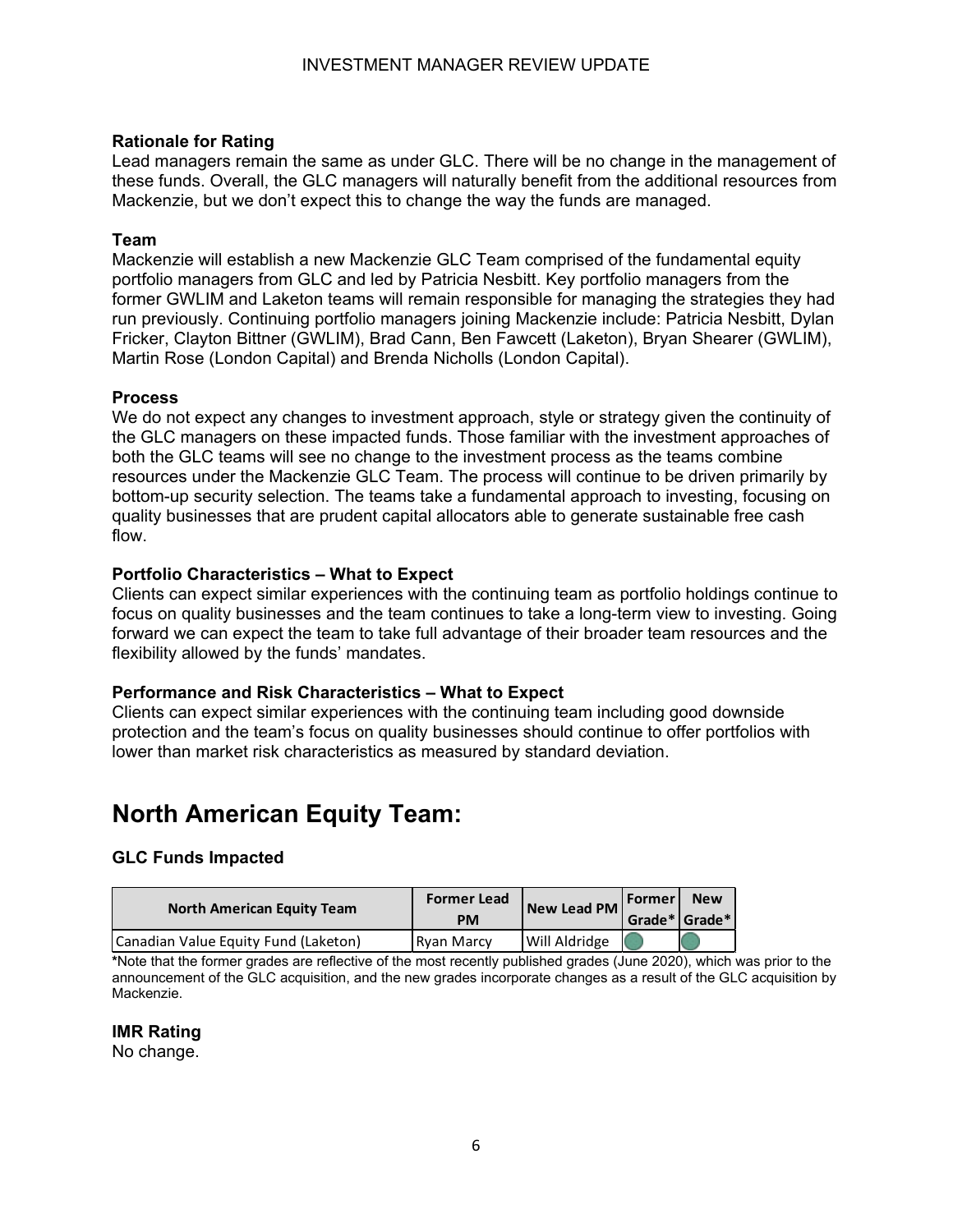#### **Rationale for Rating**

Lead managers remain the same as under GLC. There will be no change in the management of these funds. Overall, the GLC managers will naturally benefit from the additional resources from Mackenzie, but we don't expect this to change the way the funds are managed.

#### **Team**

Mackenzie will establish a new Mackenzie GLC Team comprised of the fundamental equity portfolio managers from GLC and led by Patricia Nesbitt. Key portfolio managers from the former GWLIM and Laketon teams will remain responsible for managing the strategies they had run previously. Continuing portfolio managers joining Mackenzie include: Patricia Nesbitt, Dylan Fricker, Clayton Bittner (GWLIM), Brad Cann, Ben Fawcett (Laketon), Bryan Shearer (GWLIM), Martin Rose (London Capital) and Brenda Nicholls (London Capital).

#### **Process**

We do not expect any changes to investment approach, style or strategy given the continuity of the GLC managers on these impacted funds. Those familiar with the investment approaches of both the GLC teams will see no change to the investment process as the teams combine resources under the Mackenzie GLC Team. The process will continue to be driven primarily by bottom-up security selection. The teams take a fundamental approach to investing, focusing on quality businesses that are prudent capital allocators able to generate sustainable free cash flow.

#### **Portfolio Characteristics – What to Expect**

Clients can expect similar experiences with the continuing team as portfolio holdings continue to focus on quality businesses and the team continues to take a long-term view to investing. Going forward we can expect the team to take full advantage of their broader team resources and the flexibility allowed by the funds' mandates.

#### **Performance and Risk Characteristics – What to Expect**

Clients can expect similar experiences with the continuing team including good downside protection and the team's focus on quality businesses should continue to offer portfolios with lower than market risk characteristics as measured by standard deviation.

# <span id="page-6-0"></span>**North American Equity Team:**

#### **GLC Funds Impacted**

| <b>North American Equity Team</b>    | <b>Former Lead</b> | New Lead PM Former   |                       | <b>New</b> |
|--------------------------------------|--------------------|----------------------|-----------------------|------------|
|                                      | <b>PM</b>          |                      | $ $ Grade* $ $ Grade* |            |
| Canadian Value Equity Fund (Laketon) | <b>Rvan Marcy</b>  | <b>Will Aldridge</b> |                       |            |

**\***Note that the former grades are reflective of the most recently published grades (June 2020), which was prior to the announcement of the GLC acquisition, and the new grades incorporate changes as a result of the GLC acquisition by Mackenzie.

#### **IMR Rating**

No change.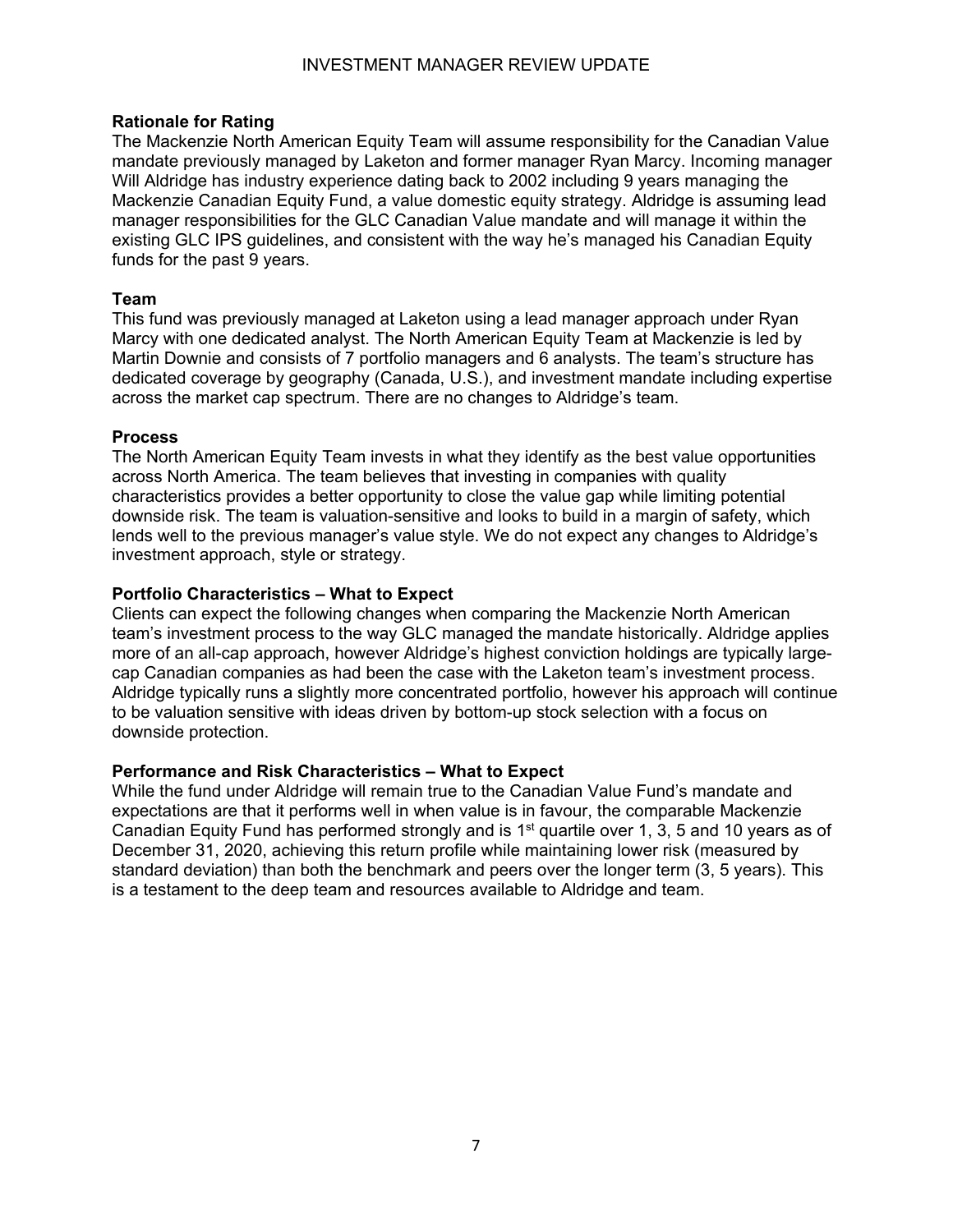#### **Rationale for Rating**

The Mackenzie North American Equity Team will assume responsibility for the Canadian Value mandate previously managed by Laketon and former manager Ryan Marcy. Incoming manager Will Aldridge has industry experience dating back to 2002 including 9 years managing the Mackenzie Canadian Equity Fund, a value domestic equity strategy. Aldridge is assuming lead manager responsibilities for the GLC Canadian Value mandate and will manage it within the existing GLC IPS guidelines, and consistent with the way he's managed his Canadian Equity funds for the past 9 years.

#### **Team**

This fund was previously managed at Laketon using a lead manager approach under Ryan Marcy with one dedicated analyst. The North American Equity Team at Mackenzie is led by Martin Downie and consists of 7 portfolio managers and 6 analysts. The team's structure has dedicated coverage by geography (Canada, U.S.), and investment mandate including expertise across the market cap spectrum. There are no changes to Aldridge's team.

#### **Process**

The North American Equity Team invests in what they identify as the best value opportunities across North America. The team believes that investing in companies with quality characteristics provides a better opportunity to close the value gap while limiting potential downside risk. The team is valuation-sensitive and looks to build in a margin of safety, which lends well to the previous manager's value style. We do not expect any changes to Aldridge's investment approach, style or strategy.

#### **Portfolio Characteristics – What to Expect**

Clients can expect the following changes when comparing the Mackenzie North American team's investment process to the way GLC managed the mandate historically. Aldridge applies more of an all-cap approach, however Aldridge's highest conviction holdings are typically largecap Canadian companies as had been the case with the Laketon team's investment process. Aldridge typically runs a slightly more concentrated portfolio, however his approach will continue to be valuation sensitive with ideas driven by bottom-up stock selection with a focus on downside protection.

#### **Performance and Risk Characteristics – What to Expect**

While the fund under Aldridge will remain true to the Canadian Value Fund's mandate and expectations are that it performs well in when value is in favour, the comparable Mackenzie Canadian Equity Fund has performed strongly and is  $1<sup>st</sup>$  quartile over 1, 3, 5 and 10 years as of December 31, 2020, achieving this return profile while maintaining lower risk (measured by standard deviation) than both the benchmark and peers over the longer term (3, 5 years). This is a testament to the deep team and resources available to Aldridge and team.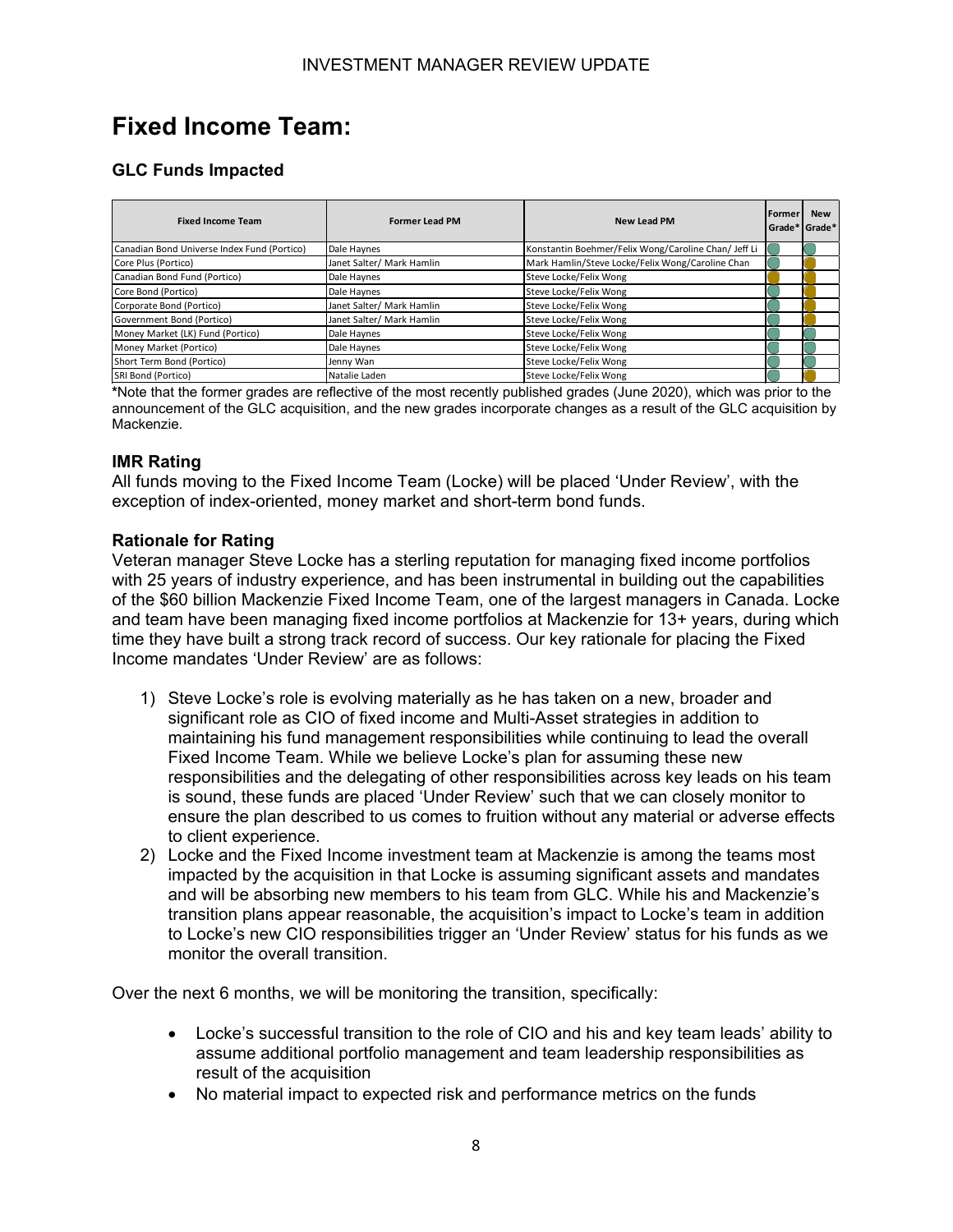# <span id="page-8-0"></span>**Fixed Income Team:**

#### **GLC Funds Impacted**

| <b>Fixed Income Team</b>                    | <b>Former Lead PM</b>     | <b>New Lead PM</b>                                   | <b>IFormer</b><br>l Grade*l Grade* | <b>New</b> |
|---------------------------------------------|---------------------------|------------------------------------------------------|------------------------------------|------------|
| Canadian Bond Universe Index Fund (Portico) | Dale Haynes               | Konstantin Boehmer/Felix Wong/Caroline Chan/ Jeff Li |                                    |            |
| Core Plus (Portico)                         | Janet Salter/ Mark Hamlin | Mark Hamlin/Steve Locke/Felix Wong/Caroline Chan     |                                    |            |
| Canadian Bond Fund (Portico)                | Dale Haynes               | Steve Locke/Felix Wong                               |                                    |            |
| Core Bond (Portico)                         | Dale Haynes               | Steve Locke/Felix Wong                               |                                    |            |
| Corporate Bond (Portico)                    | Janet Salter/ Mark Hamlin | Steve Locke/Felix Wong                               |                                    |            |
| Government Bond (Portico)                   | Janet Salter/ Mark Hamlin | Steve Locke/Felix Wong                               |                                    |            |
| Money Market (LK) Fund (Portico)            | Dale Haynes               | Steve Locke/Felix Wong                               |                                    |            |
| Money Market (Portico)                      | Dale Haynes               | Steve Locke/Felix Wong                               |                                    |            |
| Short Term Bond (Portico)                   | Jenny Wan                 | Steve Locke/Felix Wong                               |                                    |            |
| SRI Bond (Portico)                          | Natalie Laden             | Steve Locke/Felix Wong                               |                                    |            |

**\***Note that the former grades are reflective of the most recently published grades (June 2020), which was prior to the announcement of the GLC acquisition, and the new grades incorporate changes as a result of the GLC acquisition by Mackenzie.

#### **IMR Rating**

All funds moving to the Fixed Income Team (Locke) will be placed 'Under Review', with the exception of index-oriented, money market and short-term bond funds.

#### **Rationale for Rating**

Veteran manager Steve Locke has a sterling reputation for managing fixed income portfolios with 25 years of industry experience, and has been instrumental in building out the capabilities of the \$60 billion Mackenzie Fixed Income Team, one of the largest managers in Canada. Locke and team have been managing fixed income portfolios at Mackenzie for 13+ years, during which time they have built a strong track record of success. Our key rationale for placing the Fixed Income mandates 'Under Review' are as follows:

- 1) Steve Locke's role is evolving materially as he has taken on a new, broader and significant role as CIO of fixed income and Multi-Asset strategies in addition to maintaining his fund management responsibilities while continuing to lead the overall Fixed Income Team. While we believe Locke's plan for assuming these new responsibilities and the delegating of other responsibilities across key leads on his team is sound, these funds are placed 'Under Review' such that we can closely monitor to ensure the plan described to us comes to fruition without any material or adverse effects to client experience.
- 2) Locke and the Fixed Income investment team at Mackenzie is among the teams most impacted by the acquisition in that Locke is assuming significant assets and mandates and will be absorbing new members to his team from GLC. While his and Mackenzie's transition plans appear reasonable, the acquisition's impact to Locke's team in addition to Locke's new CIO responsibilities trigger an 'Under Review' status for his funds as we monitor the overall transition.

Over the next 6 months, we will be monitoring the transition, specifically:

- Locke's successful transition to the role of CIO and his and key team leads' ability to assume additional portfolio management and team leadership responsibilities as result of the acquisition
- No material impact to expected risk and performance metrics on the funds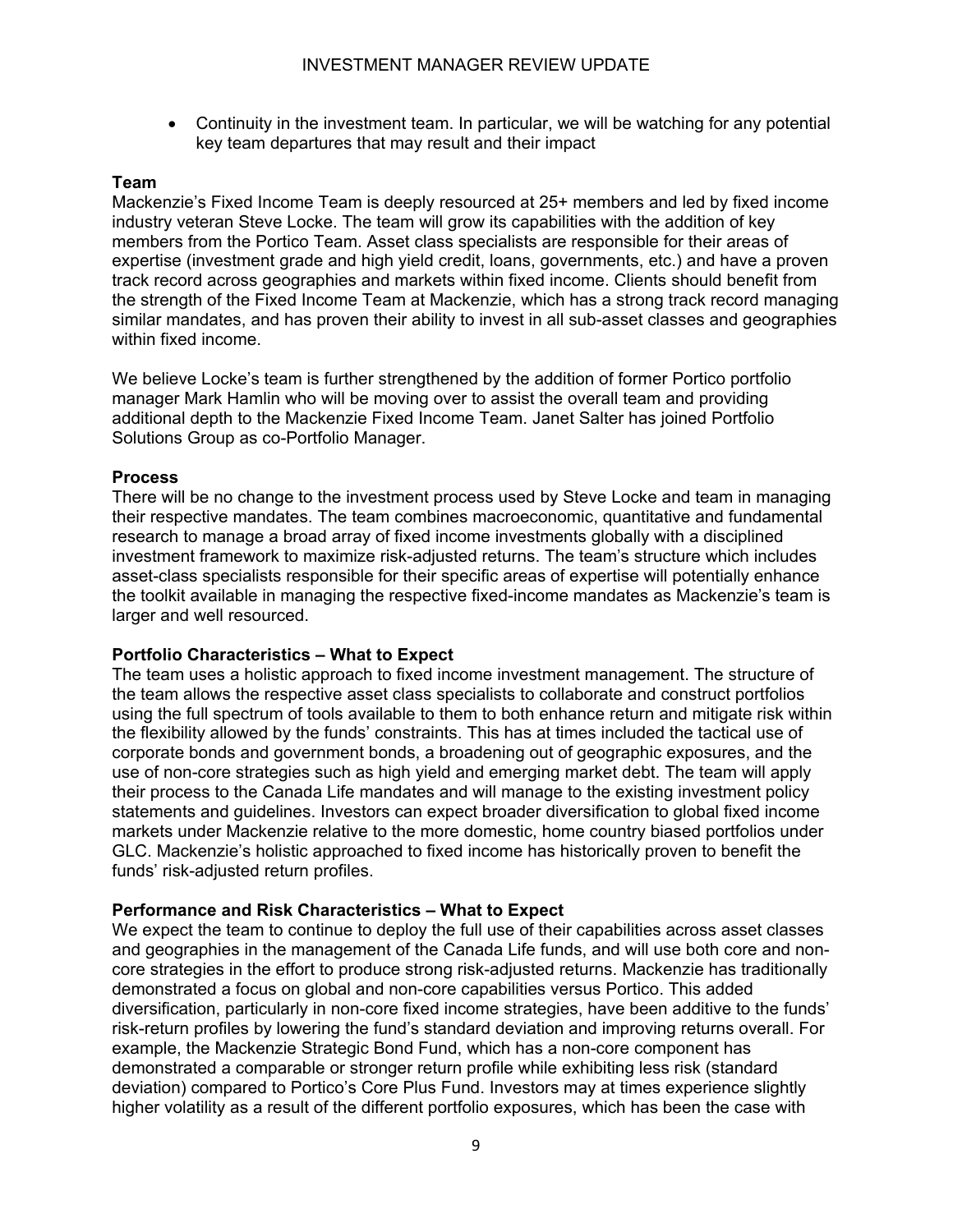• Continuity in the investment team. In particular, we will be watching for any potential key team departures that may result and their impact

#### **Team**

Mackenzie's Fixed Income Team is deeply resourced at 25+ members and led by fixed income industry veteran Steve Locke. The team will grow its capabilities with the addition of key members from the Portico Team. Asset class specialists are responsible for their areas of expertise (investment grade and high yield credit, loans, governments, etc.) and have a proven track record across geographies and markets within fixed income. Clients should benefit from the strength of the Fixed Income Team at Mackenzie, which has a strong track record managing similar mandates, and has proven their ability to invest in all sub-asset classes and geographies within fixed income.

We believe Locke's team is further strengthened by the addition of former Portico portfolio manager Mark Hamlin who will be moving over to assist the overall team and providing additional depth to the Mackenzie Fixed Income Team. Janet Salter has joined Portfolio Solutions Group as co-Portfolio Manager.

#### **Process**

There will be no change to the investment process used by Steve Locke and team in managing their respective mandates. The team combines macroeconomic, quantitative and fundamental research to manage a broad array of fixed income investments globally with a disciplined investment framework to maximize risk-adjusted returns. The team's structure which includes asset-class specialists responsible for their specific areas of expertise will potentially enhance the toolkit available in managing the respective fixed-income mandates as Mackenzie's team is larger and well resourced.

#### **Portfolio Characteristics – What to Expect**

The team uses a holistic approach to fixed income investment management. The structure of the team allows the respective asset class specialists to collaborate and construct portfolios using the full spectrum of tools available to them to both enhance return and mitigate risk within the flexibility allowed by the funds' constraints. This has at times included the tactical use of corporate bonds and government bonds, a broadening out of geographic exposures, and the use of non-core strategies such as high yield and emerging market debt. The team will apply their process to the Canada Life mandates and will manage to the existing investment policy statements and guidelines. Investors can expect broader diversification to global fixed income markets under Mackenzie relative to the more domestic, home country biased portfolios under GLC. Mackenzie's holistic approached to fixed income has historically proven to benefit the funds' risk-adjusted return profiles.

#### **Performance and Risk Characteristics – What to Expect**

We expect the team to continue to deploy the full use of their capabilities across asset classes and geographies in the management of the Canada Life funds, and will use both core and noncore strategies in the effort to produce strong risk-adjusted returns. Mackenzie has traditionally demonstrated a focus on global and non-core capabilities versus Portico. This added diversification, particularly in non-core fixed income strategies, have been additive to the funds' risk-return profiles by lowering the fund's standard deviation and improving returns overall. For example, the Mackenzie Strategic Bond Fund, which has a non-core component has demonstrated a comparable or stronger return profile while exhibiting less risk (standard deviation) compared to Portico's Core Plus Fund. Investors may at times experience slightly higher volatility as a result of the different portfolio exposures, which has been the case with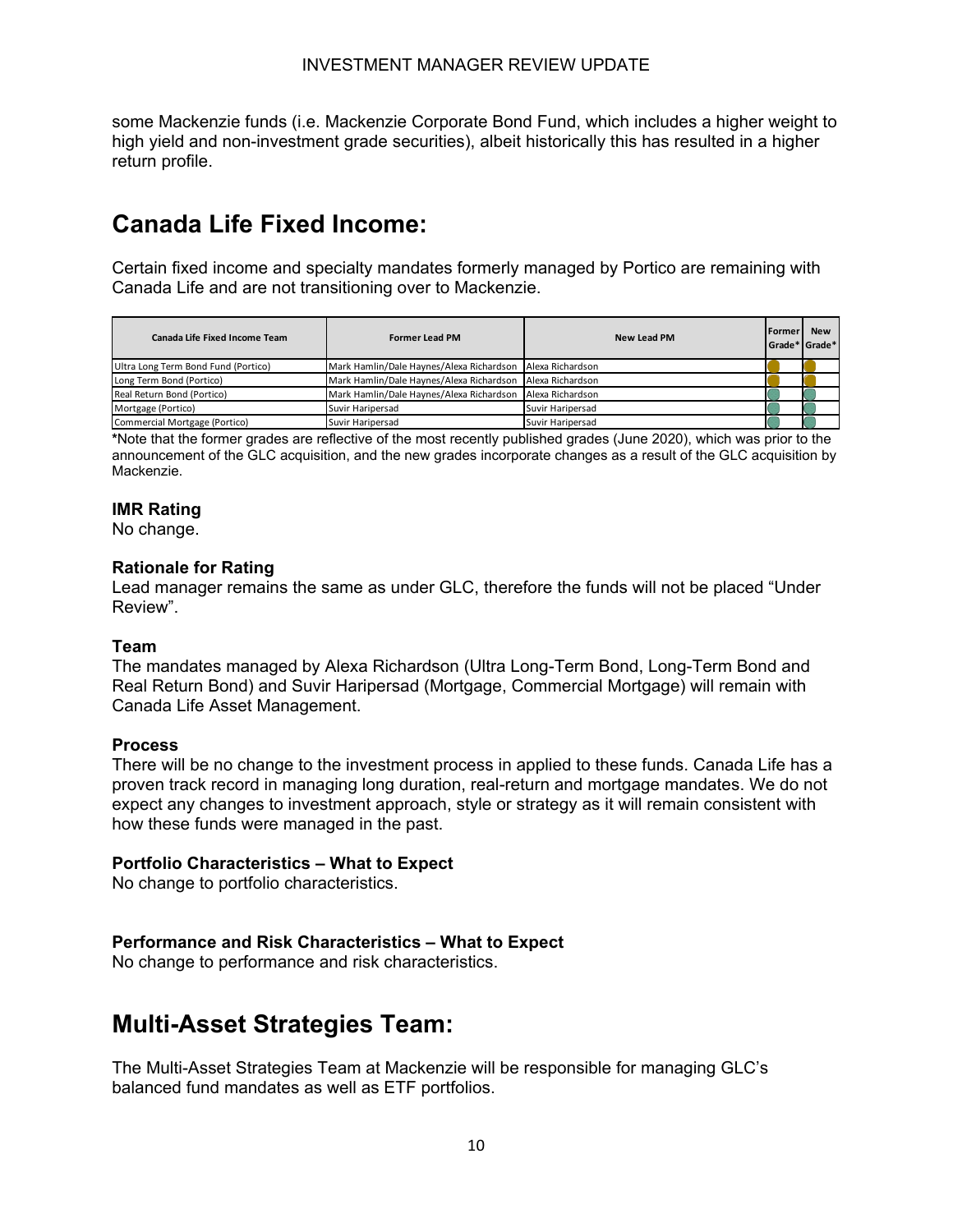some Mackenzie funds (i.e. Mackenzie Corporate Bond Fund, which includes a higher weight to high yield and non-investment grade securities), albeit historically this has resulted in a higher return profile.

# <span id="page-10-0"></span>**Canada Life Fixed Income:**

Certain fixed income and specialty mandates formerly managed by Portico are remaining with Canada Life and are not transitioning over to Mackenzie.

| Canada Life Fixed Income Team       | <b>Former Lead PM</b>                    | <b>New Lead PM</b> | <b>IFormer</b> | <b>New</b><br>Grade* Grade* |
|-------------------------------------|------------------------------------------|--------------------|----------------|-----------------------------|
| Ultra Long Term Bond Fund (Portico) | Mark Hamlin/Dale Haynes/Alexa Richardson | Alexa Richardson   |                |                             |
| Long Term Bond (Portico)            | Mark Hamlin/Dale Haynes/Alexa Richardson | Alexa Richardson   |                |                             |
| Real Return Bond (Portico)          | Mark Hamlin/Dale Haynes/Alexa Richardson | Alexa Richardson   |                |                             |
| Mortgage (Portico)                  | Suvir Haripersad                         | Suvir Haripersad   |                |                             |
| Commercial Mortgage (Portico)       | Suvir Haripersad                         | Suvir Haripersad   |                |                             |

**\***Note that the former grades are reflective of the most recently published grades (June 2020), which was prior to the announcement of the GLC acquisition, and the new grades incorporate changes as a result of the GLC acquisition by Mackenzie.

#### **IMR Rating**

No change.

#### **Rationale for Rating**

Lead manager remains the same as under GLC, therefore the funds will not be placed "Under Review".

#### **Team**

The mandates managed by Alexa Richardson (Ultra Long-Term Bond, Long-Term Bond and Real Return Bond) and Suvir Haripersad (Mortgage, Commercial Mortgage) will remain with Canada Life Asset Management.

#### **Process**

There will be no change to the investment process in applied to these funds. Canada Life has a proven track record in managing long duration, real-return and mortgage mandates. We do not expect any changes to investment approach, style or strategy as it will remain consistent with how these funds were managed in the past.

#### **Portfolio Characteristics – What to Expect**

No change to portfolio characteristics.

#### **Performance and Risk Characteristics – What to Expect**

No change to performance and risk characteristics.

## <span id="page-10-1"></span>**Multi-Asset Strategies Team:**

The Multi-Asset Strategies Team at Mackenzie will be responsible for managing GLC's balanced fund mandates as well as ETF portfolios.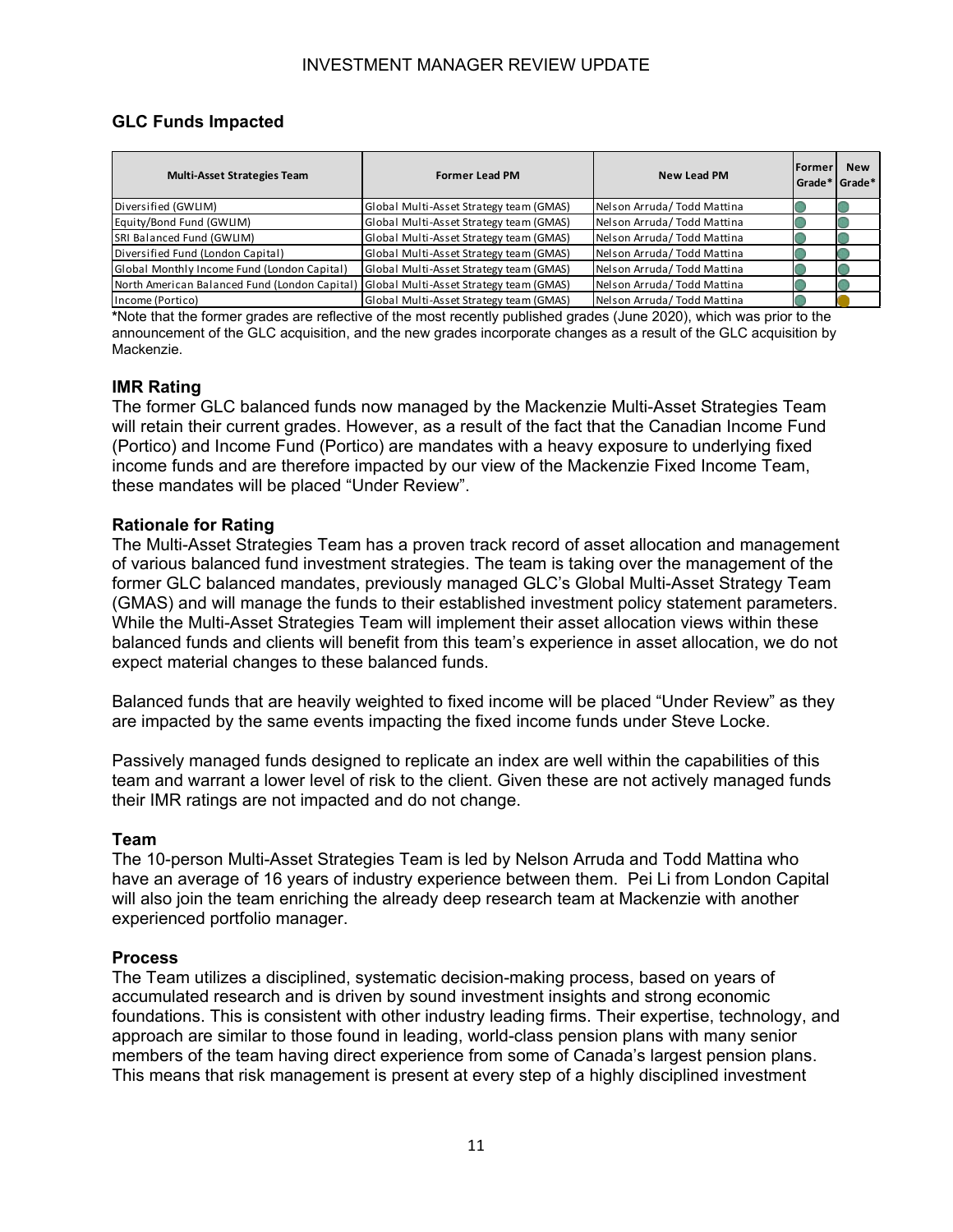#### **GLC Funds Impacted**

| <b>Multi-Asset Strategies Team</b>            | <b>Former Lead PM</b>                   | <b>New Lead PM</b>           | <b>IFormer</b><br>l Grade*   Grade* | <b>New</b> |
|-----------------------------------------------|-----------------------------------------|------------------------------|-------------------------------------|------------|
| Diversified (GWLIM)                           | Global Multi-Asset Strategy team (GMAS) | Nelson Arruda / Todd Mattina |                                     |            |
| Equity/Bond Fund (GWLIM)                      | Global Multi-Asset Strategy team (GMAS) | Nelson Arruda/Todd Mattina   |                                     |            |
| SRI Balanced Fund (GWLIM)                     | Global Multi-Asset Strategy team (GMAS) | Nelson Arruda/Todd Mattina   |                                     |            |
| Diversified Fund (London Capital)             | Global Multi-Asset Strategy team (GMAS) | Nelson Arruda/Todd Mattina   |                                     |            |
| Global Monthly Income Fund (London Capital)   | Global Multi-Asset Strategy team (GMAS) | Nelson Arruda/Todd Mattina   |                                     |            |
| North American Balanced Fund (London Capital) | Global Multi-Asset Strategy team (GMAS) | Nelson Arruda/Todd Mattina   |                                     |            |
| Income (Portico)                              | Global Multi-Asset Strategy team (GMAS) | Nelson Arruda / Todd Mattina |                                     |            |

**\***Note that the former grades are reflective of the most recently published grades (June 2020), which was prior to the announcement of the GLC acquisition, and the new grades incorporate changes as a result of the GLC acquisition by Mackenzie.

#### **IMR Rating**

The former GLC balanced funds now managed by the Mackenzie Multi-Asset Strategies Team will retain their current grades. However, as a result of the fact that the Canadian Income Fund (Portico) and Income Fund (Portico) are mandates with a heavy exposure to underlying fixed income funds and are therefore impacted by our view of the Mackenzie Fixed Income Team, these mandates will be placed "Under Review".

#### **Rationale for Rating**

The Multi-Asset Strategies Team has a proven track record of asset allocation and management of various balanced fund investment strategies. The team is taking over the management of the former GLC balanced mandates, previously managed GLC's Global Multi-Asset Strategy Team (GMAS) and will manage the funds to their established investment policy statement parameters. While the Multi-Asset Strategies Team will implement their asset allocation views within these balanced funds and clients will benefit from this team's experience in asset allocation, we do not expect material changes to these balanced funds.

Balanced funds that are heavily weighted to fixed income will be placed "Under Review" as they are impacted by the same events impacting the fixed income funds under Steve Locke.

Passively managed funds designed to replicate an index are well within the capabilities of this team and warrant a lower level of risk to the client. Given these are not actively managed funds their IMR ratings are not impacted and do not change.

#### **Team**

The 10-person Multi-Asset Strategies Team is led by Nelson Arruda and Todd Mattina who have an average of 16 years of industry experience between them. Pei Li from London Capital will also join the team enriching the already deep research team at Mackenzie with another experienced portfolio manager.

#### **Process**

The Team utilizes a disciplined, systematic decision-making process, based on years of accumulated research and is driven by sound investment insights and strong economic foundations. This is consistent with other industry leading firms. Their expertise, technology, and approach are similar to those found in leading, world-class pension plans with many senior members of the team having direct experience from some of Canada's largest pension plans. This means that risk management is present at every step of a highly disciplined investment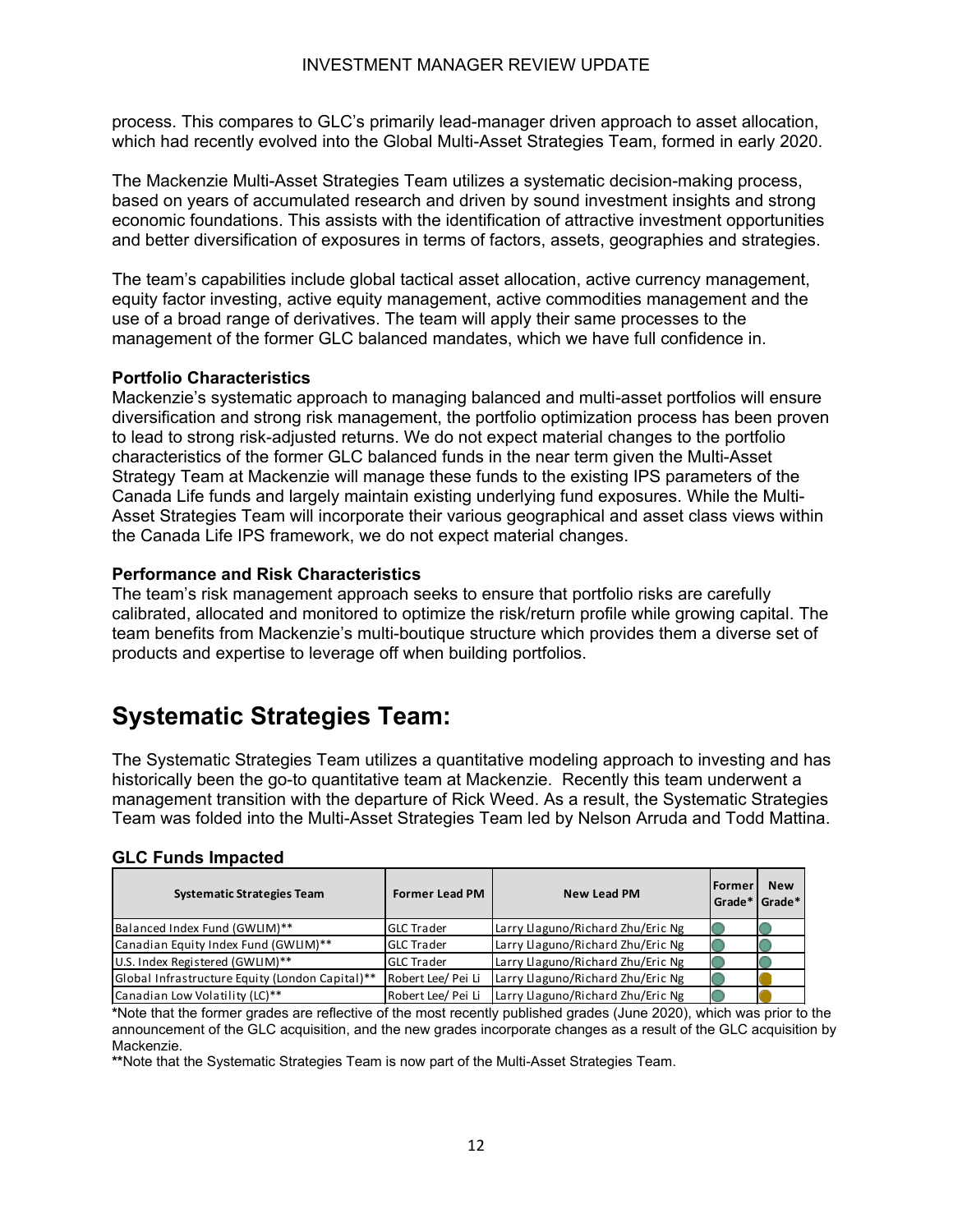process. This compares to GLC's primarily lead-manager driven approach to asset allocation, which had recently evolved into the Global Multi-Asset Strategies Team, formed in early 2020.

The Mackenzie Multi-Asset Strategies Team utilizes a systematic decision-making process, based on years of accumulated research and driven by sound investment insights and strong economic foundations. This assists with the identification of attractive investment opportunities and better diversification of exposures in terms of factors, assets, geographies and strategies.

The team's capabilities include global tactical asset allocation, active currency management, equity factor investing, active equity management, active commodities management and the use of a broad range of derivatives. The team will apply their same processes to the management of the former GLC balanced mandates, which we have full confidence in.

#### **Portfolio Characteristics**

Mackenzie's systematic approach to managing balanced and multi-asset portfolios will ensure diversification and strong risk management, the portfolio optimization process has been proven to lead to strong risk-adjusted returns. We do not expect material changes to the portfolio characteristics of the former GLC balanced funds in the near term given the Multi-Asset Strategy Team at Mackenzie will manage these funds to the existing IPS parameters of the Canada Life funds and largely maintain existing underlying fund exposures. While the Multi-Asset Strategies Team will incorporate their various geographical and asset class views within the Canada Life IPS framework, we do not expect material changes.

#### **Performance and Risk Characteristics**

The team's risk management approach seeks to ensure that portfolio risks are carefully calibrated, allocated and monitored to optimize the risk/return profile while growing capital. The team benefits from Mackenzie's multi-boutique structure which provides them a diverse set of products and expertise to leverage off when building portfolios.

# <span id="page-12-0"></span>**Systematic Strategies Team:**

The Systematic Strategies Team utilizes a quantitative modeling approach to investing and has historically been the go-to quantitative team at Mackenzie. Recently this team underwent a management transition with the departure of Rick Weed. As a result, the Systematic Strategies Team was folded into the Multi-Asset Strategies Team led by Nelson Arruda and Todd Mattina.

#### **GLC Funds Impacted**

| <b>Systematic Strategies Team</b>               | <b>Former Lead PM</b> | <b>New Lead PM</b>                | <b>IFormer</b><br>Grade* | <b>New</b><br>Grade* |
|-------------------------------------------------|-----------------------|-----------------------------------|--------------------------|----------------------|
| Balanced Index Fund (GWLIM)**                   | <b>IGLC Trader</b>    | Larry Llaguno/Richard Zhu/Eric Ng |                          |                      |
| Canadian Equity Index Fund (GWLIM)**            | <b>GLC Trader</b>     | Larry Llaguno/Richard Zhu/Eric Ng |                          |                      |
| U.S. Index Registered (GWLIM)**                 | <b>GLC Trader</b>     | Larry Llaguno/Richard Zhu/Eric Ng |                          |                      |
| Global Infrastructure Equity (London Capital)** | Robert Lee/ Pei Li    | Larry Llaguno/Richard Zhu/Eric Ng |                          |                      |
| Canadian Low Volatility (LC)**                  | Robert Lee/ Pei Li    | Larry Llaguno/Richard Zhu/Eric Ng |                          |                      |

**\***Note that the former grades are reflective of the most recently published grades (June 2020), which was prior to the announcement of the GLC acquisition, and the new grades incorporate changes as a result of the GLC acquisition by Mackenzie.

**\*\***Note that the Systematic Strategies Team is now part of the Multi-Asset Strategies Team.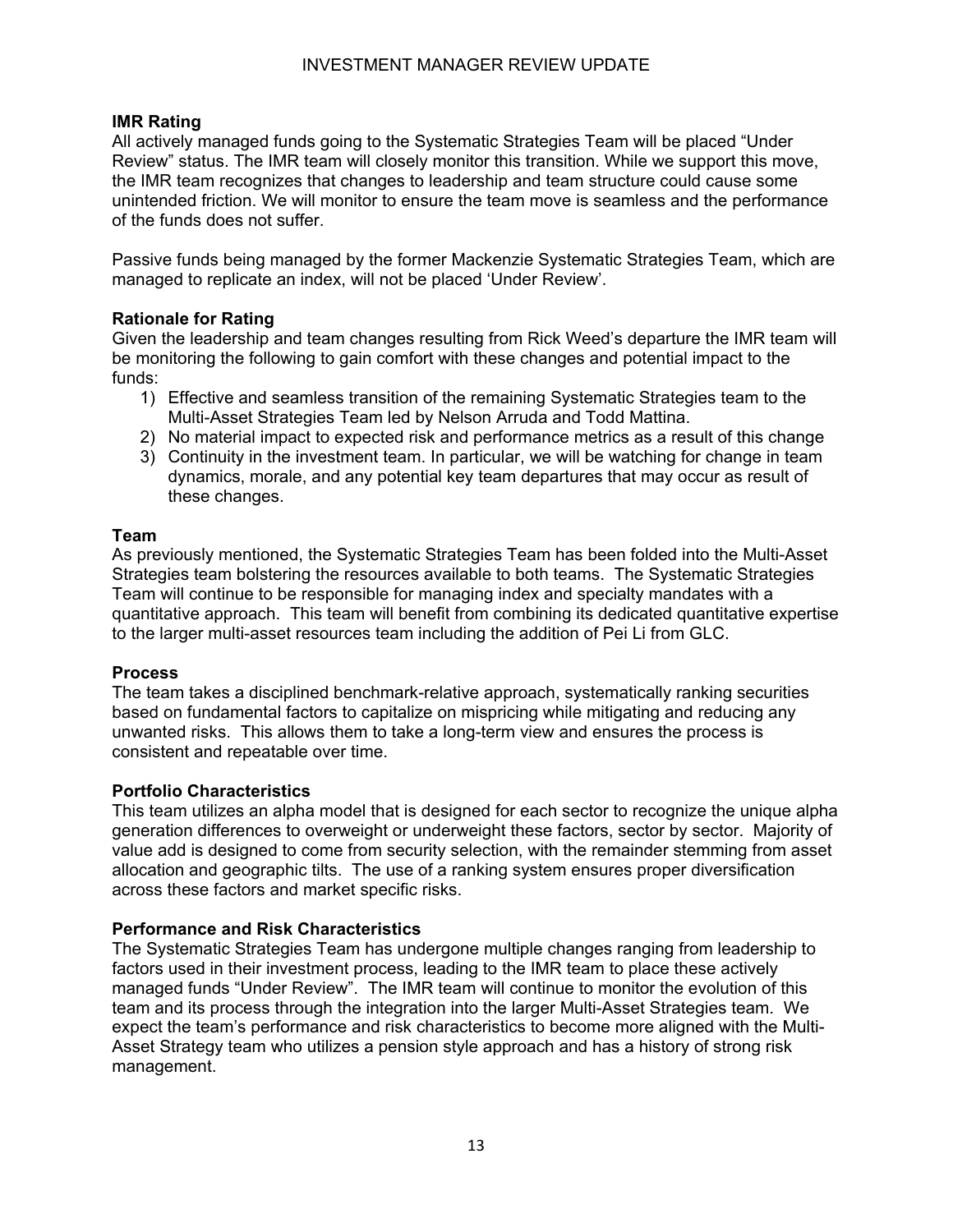#### **IMR Rating**

All actively managed funds going to the Systematic Strategies Team will be placed "Under Review" status. The IMR team will closely monitor this transition. While we support this move, the IMR team recognizes that changes to leadership and team structure could cause some unintended friction. We will monitor to ensure the team move is seamless and the performance of the funds does not suffer.

Passive funds being managed by the former Mackenzie Systematic Strategies Team, which are managed to replicate an index, will not be placed 'Under Review'.

#### **Rationale for Rating**

Given the leadership and team changes resulting from Rick Weed's departure the IMR team will be monitoring the following to gain comfort with these changes and potential impact to the funds:

- 1) Effective and seamless transition of the remaining Systematic Strategies team to the Multi-Asset Strategies Team led by Nelson Arruda and Todd Mattina.
- 2) No material impact to expected risk and performance metrics as a result of this change
- 3) Continuity in the investment team. In particular, we will be watching for change in team dynamics, morale, and any potential key team departures that may occur as result of these changes.

#### **Team**

As previously mentioned, the Systematic Strategies Team has been folded into the Multi-Asset Strategies team bolstering the resources available to both teams. The Systematic Strategies Team will continue to be responsible for managing index and specialty mandates with a quantitative approach. This team will benefit from combining its dedicated quantitative expertise to the larger multi-asset resources team including the addition of Pei Li from GLC.

#### **Process**

The team takes a disciplined benchmark-relative approach, systematically ranking securities based on fundamental factors to capitalize on mispricing while mitigating and reducing any unwanted risks. This allows them to take a long-term view and ensures the process is consistent and repeatable over time.

#### **Portfolio Characteristics**

This team utilizes an alpha model that is designed for each sector to recognize the unique alpha generation differences to overweight or underweight these factors, sector by sector. Majority of value add is designed to come from security selection, with the remainder stemming from asset allocation and geographic tilts. The use of a ranking system ensures proper diversification across these factors and market specific risks.

#### **Performance and Risk Characteristics**

The Systematic Strategies Team has undergone multiple changes ranging from leadership to factors used in their investment process, leading to the IMR team to place these actively managed funds "Under Review". The IMR team will continue to monitor the evolution of this team and its process through the integration into the larger Multi-Asset Strategies team. We expect the team's performance and risk characteristics to become more aligned with the Multi-Asset Strategy team who utilizes a pension style approach and has a history of strong risk management.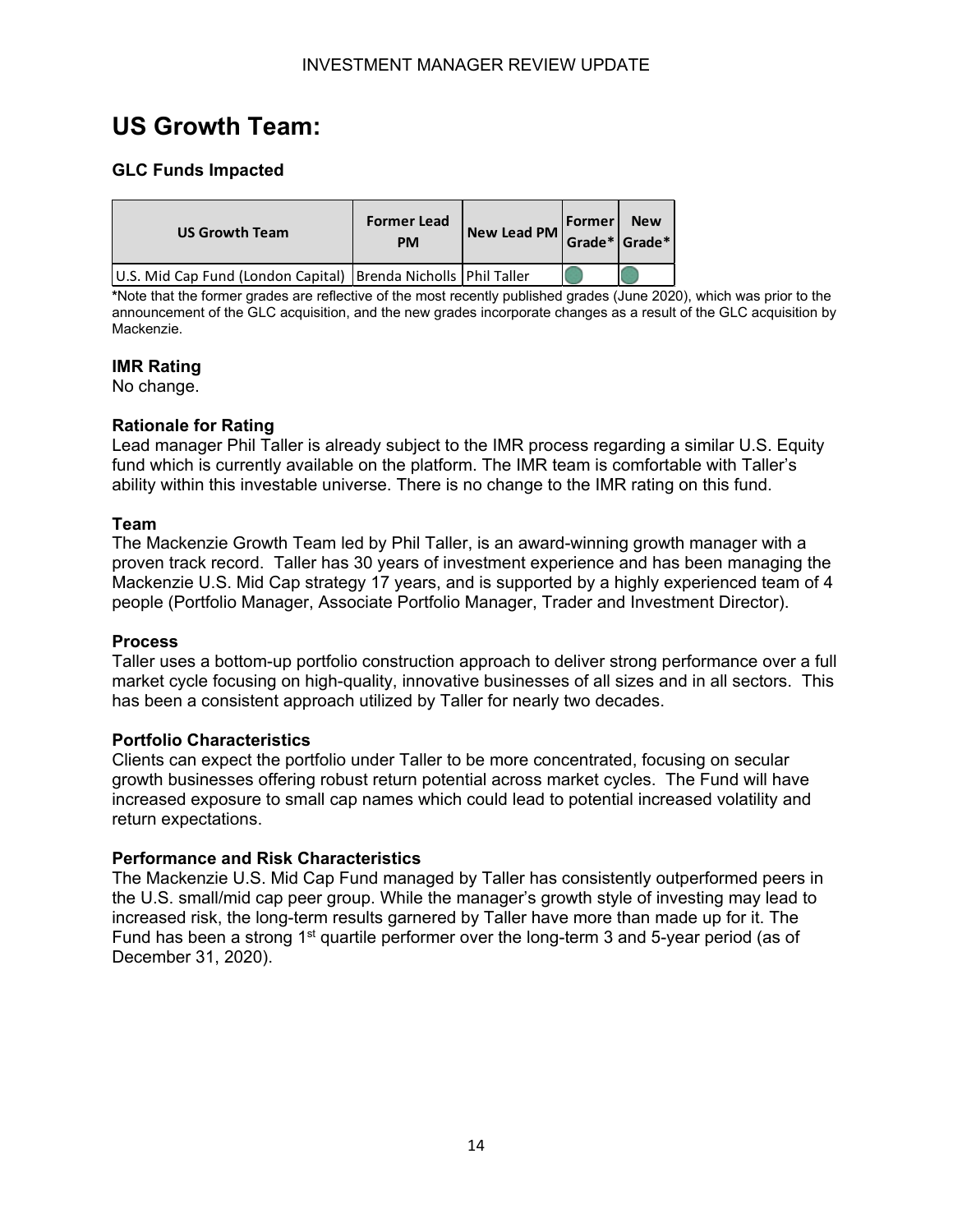# <span id="page-14-0"></span>**US Growth Team:**

#### **GLC Funds Impacted**

| <b>US Growth Team</b>                                              | <b>Former Lead</b><br><b>PM</b> | New Lead PM | Former <br>Grade* Grade* | <b>New</b> |
|--------------------------------------------------------------------|---------------------------------|-------------|--------------------------|------------|
| U.S. Mid Cap Fund (London Capital)   Brenda Nicholls   Phil Taller |                                 |             |                          |            |

**\***Note that the former grades are reflective of the most recently published grades (June 2020), which was prior to the announcement of the GLC acquisition, and the new grades incorporate changes as a result of the GLC acquisition by Mackenzie.

#### **IMR Rating**

No change.

#### **Rationale for Rating**

Lead manager Phil Taller is already subject to the IMR process regarding a similar U.S. Equity fund which is currently available on the platform. The IMR team is comfortable with Taller's ability within this investable universe. There is no change to the IMR rating on this fund.

#### **Team**

The Mackenzie Growth Team led by Phil Taller, is an award-winning growth manager with a proven track record. Taller has 30 years of investment experience and has been managing the Mackenzie U.S. Mid Cap strategy 17 years, and is supported by a highly experienced team of 4 people (Portfolio Manager, Associate Portfolio Manager, Trader and Investment Director).

#### **Process**

Taller uses a bottom-up portfolio construction approach to deliver strong performance over a full market cycle focusing on high-quality, innovative businesses of all sizes and in all sectors. This has been a consistent approach utilized by Taller for nearly two decades.

#### **Portfolio Characteristics**

Clients can expect the portfolio under Taller to be more concentrated, focusing on secular growth businesses offering robust return potential across market cycles. The Fund will have increased exposure to small cap names which could lead to potential increased volatility and return expectations.

#### **Performance and Risk Characteristics**

The Mackenzie U.S. Mid Cap Fund managed by Taller has consistently outperformed peers in the U.S. small/mid cap peer group. While the manager's growth style of investing may lead to increased risk, the long-term results garnered by Taller have more than made up for it. The Fund has been a strong 1<sup>st</sup> quartile performer over the long-term 3 and 5-year period (as of December 31, 2020).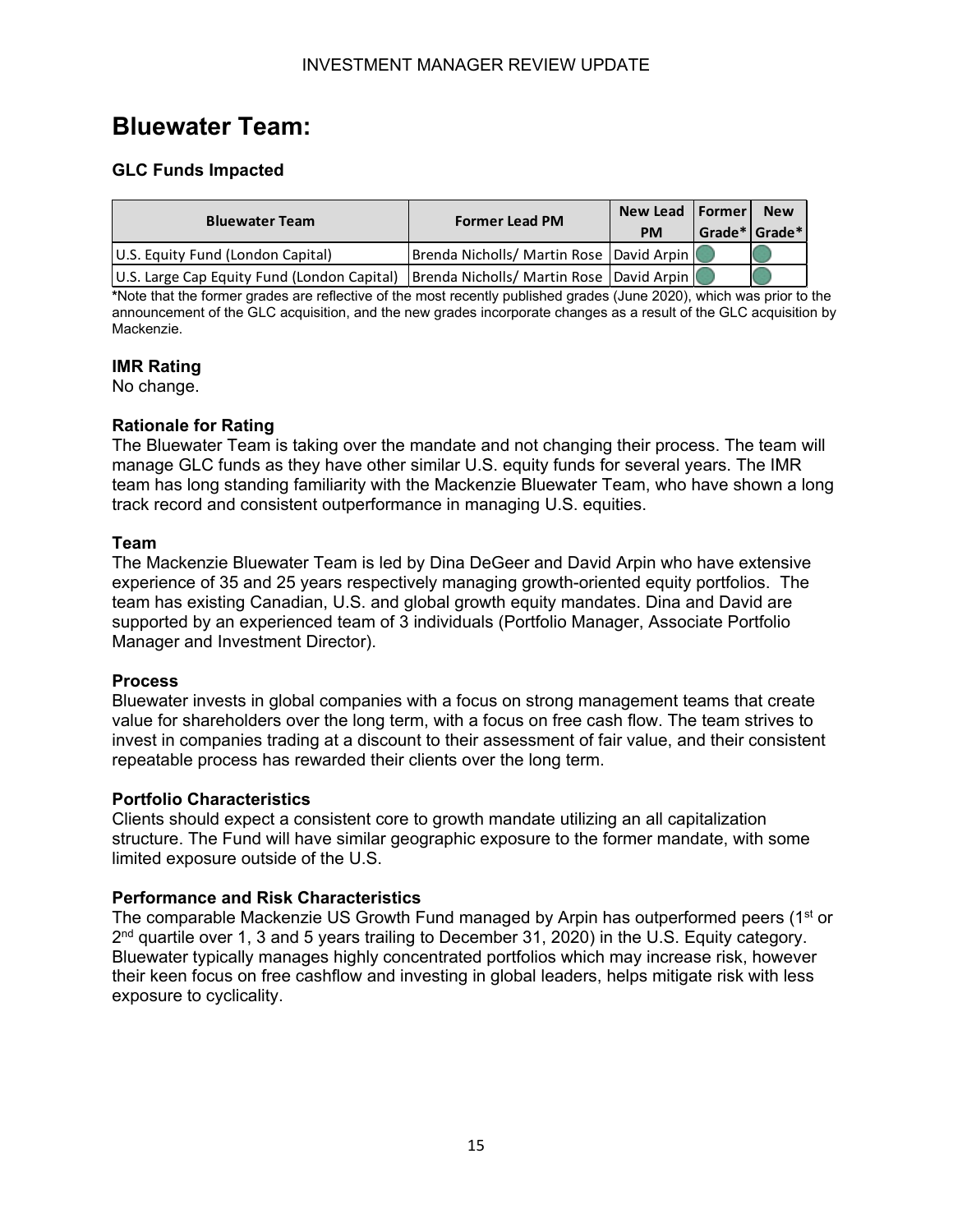## <span id="page-15-0"></span>**Bluewater Team:**

#### **GLC Funds Impacted**

| <b>Bluewater Team</b>                                                                    | <b>Former Lead PM</b>                    | New Lead   Former  <br><b>PM</b> | Grade* Grade* | <b>New</b> |
|------------------------------------------------------------------------------------------|------------------------------------------|----------------------------------|---------------|------------|
| U.S. Equity Fund (London Capital)                                                        | Brenda Nicholls/ Martin Rose David Arpin |                                  |               |            |
| U.S. Large Cap Equity Fund (London Capital)   Brenda Nicholls/ Martin Rose   David Arpin |                                          |                                  |               |            |

**\***Note that the former grades are reflective of the most recently published grades (June 2020), which was prior to the announcement of the GLC acquisition, and the new grades incorporate changes as a result of the GLC acquisition by Mackenzie.

#### **IMR Rating**

No change.

#### **Rationale for Rating**

The Bluewater Team is taking over the mandate and not changing their process. The team will manage GLC funds as they have other similar U.S. equity funds for several years. The IMR team has long standing familiarity with the Mackenzie Bluewater Team, who have shown a long track record and consistent outperformance in managing U.S. equities.

#### **Team**

The Mackenzie Bluewater Team is led by Dina DeGeer and David Arpin who have extensive experience of 35 and 25 years respectively managing growth-oriented equity portfolios. The team has existing Canadian, U.S. and global growth equity mandates. Dina and David are supported by an experienced team of 3 individuals (Portfolio Manager, Associate Portfolio Manager and Investment Director).

#### **Process**

Bluewater invests in global companies with a focus on strong management teams that create value for shareholders over the long term, with a focus on free cash flow. The team strives to invest in companies trading at a discount to their assessment of fair value, and their consistent repeatable process has rewarded their clients over the long term.

#### **Portfolio Characteristics**

Clients should expect a consistent core to growth mandate utilizing an all capitalization structure. The Fund will have similar geographic exposure to the former mandate, with some limited exposure outside of the U.S.

#### **Performance and Risk Characteristics**

The comparable Mackenzie US Growth Fund managed by Arpin has outperformed peers  $(1<sup>st</sup>$  or  $2<sup>nd</sup>$  quartile over 1, 3 and 5 years trailing to December 31, 2020) in the U.S. Equity category. Bluewater typically manages highly concentrated portfolios which may increase risk, however their keen focus on free cashflow and investing in global leaders, helps mitigate risk with less exposure to cyclicality.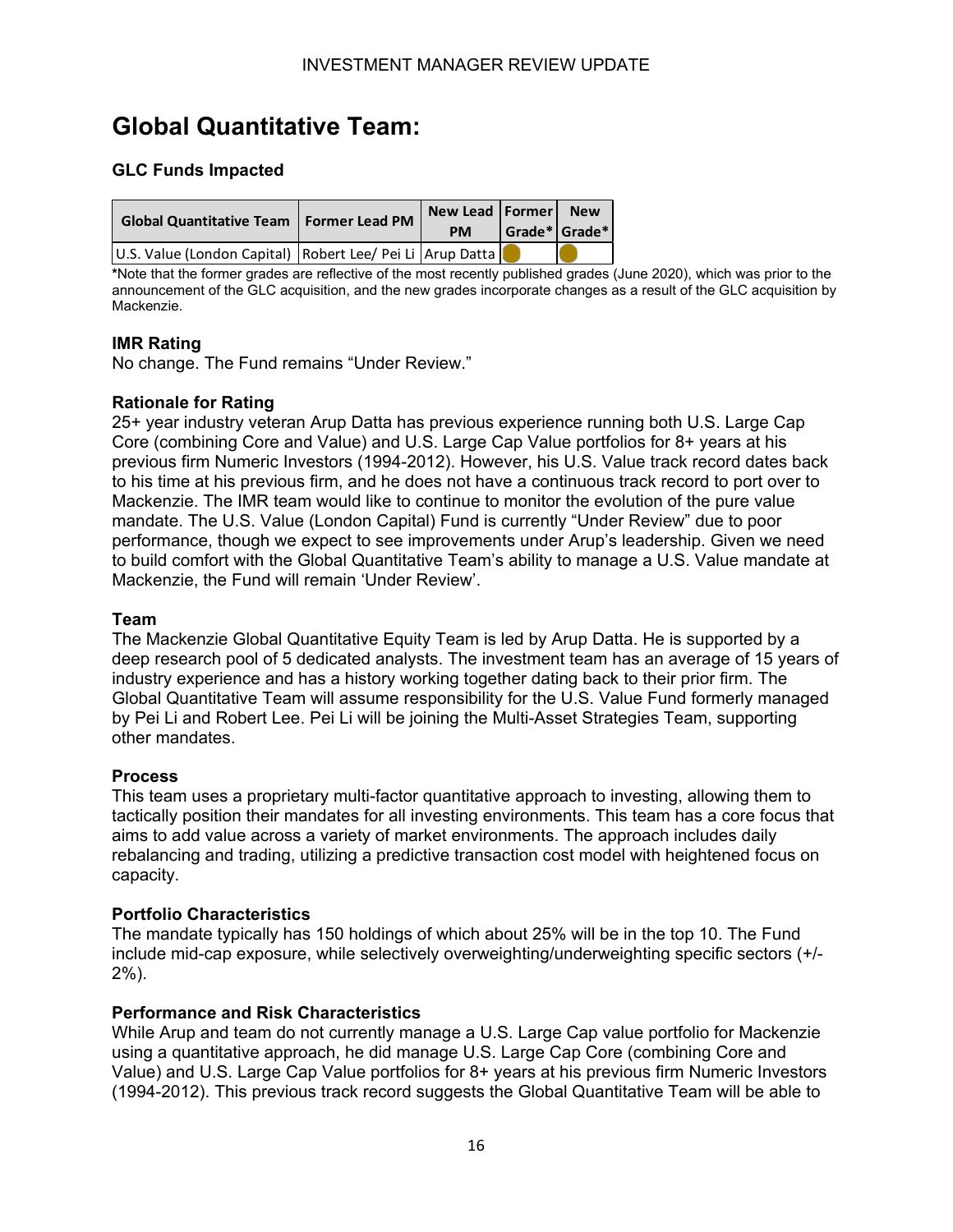# <span id="page-16-0"></span>**Global Quantitative Team:**

#### **GLC Funds Impacted**

| Global Quantitative Team   Former Lead PM                 | New Lead   Former  <br><b>PM</b> | $ $ Grade* $ $ Grade* $ $ | <b>New</b> |
|-----------------------------------------------------------|----------------------------------|---------------------------|------------|
| U.S. Value (London Capital) Robert Lee/ Pei Li Arup Datta |                                  |                           |            |

**\***Note that the former grades are reflective of the most recently published grades (June 2020), which was prior to the announcement of the GLC acquisition, and the new grades incorporate changes as a result of the GLC acquisition by Mackenzie.

#### **IMR Rating**

No change. The Fund remains "Under Review."

#### **Rationale for Rating**

25+ year industry veteran Arup Datta has previous experience running both U.S. Large Cap Core (combining Core and Value) and U.S. Large Cap Value portfolios for 8+ years at his previous firm Numeric Investors (1994-2012). However, his U.S. Value track record dates back to his time at his previous firm, and he does not have a continuous track record to port over to Mackenzie. The IMR team would like to continue to monitor the evolution of the pure value mandate. The U.S. Value (London Capital) Fund is currently "Under Review" due to poor performance, though we expect to see improvements under Arup's leadership. Given we need to build comfort with the Global Quantitative Team's ability to manage a U.S. Value mandate at Mackenzie, the Fund will remain 'Under Review'.

#### **Team**

The Mackenzie Global Quantitative Equity Team is led by Arup Datta. He is supported by a deep research pool of 5 dedicated analysts. The investment team has an average of 15 years of industry experience and has a history working together dating back to their prior firm. The Global Quantitative Team will assume responsibility for the U.S. Value Fund formerly managed by Pei Li and Robert Lee. Pei Li will be joining the Multi-Asset Strategies Team, supporting other mandates.

#### **Process**

This team uses a proprietary multi-factor quantitative approach to investing, allowing them to tactically position their mandates for all investing environments. This team has a core focus that aims to add value across a variety of market environments. The approach includes daily rebalancing and trading, utilizing a predictive transaction cost model with heightened focus on capacity.

#### **Portfolio Characteristics**

The mandate typically has 150 holdings of which about 25% will be in the top 10. The Fund include mid-cap exposure, while selectively overweighting/underweighting specific sectors (+/- 2%).

#### **Performance and Risk Characteristics**

While Arup and team do not currently manage a U.S. Large Cap value portfolio for Mackenzie using a quantitative approach, he did manage U.S. Large Cap Core (combining Core and Value) and U.S. Large Cap Value portfolios for 8+ years at his previous firm Numeric Investors (1994-2012). This previous track record suggests the Global Quantitative Team will be able to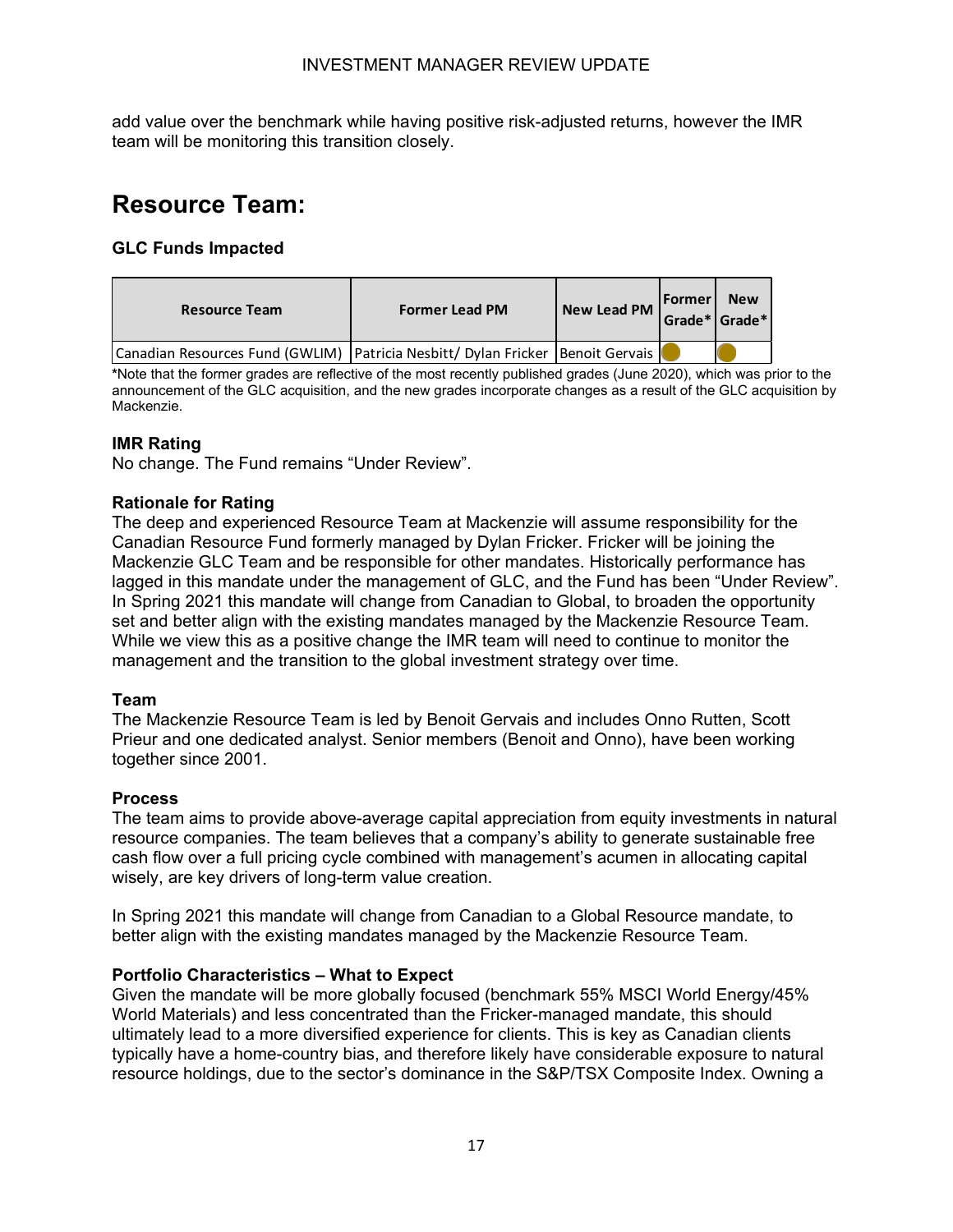add value over the benchmark while having positive risk-adjusted returns, however the IMR team will be monitoring this transition closely.

# <span id="page-17-0"></span>**Resource Team:**

#### **GLC Funds Impacted**

| <b>Resource Team</b>                                                             | <b>Former Lead PM</b> | New Lead PM | <b>Former New</b><br>Grade* Grade* |  |
|----------------------------------------------------------------------------------|-----------------------|-------------|------------------------------------|--|
| Canadian Resources Fund (GWLIM) Patricia Nesbitt/ Dylan Fricker   Benoit Gervais |                       |             |                                    |  |

**\***Note that the former grades are reflective of the most recently published grades (June 2020), which was prior to the announcement of the GLC acquisition, and the new grades incorporate changes as a result of the GLC acquisition by Mackenzie.

#### **IMR Rating**

No change. The Fund remains "Under Review".

#### **Rationale for Rating**

The deep and experienced Resource Team at Mackenzie will assume responsibility for the Canadian Resource Fund formerly managed by Dylan Fricker. Fricker will be joining the Mackenzie GLC Team and be responsible for other mandates. Historically performance has lagged in this mandate under the management of GLC, and the Fund has been "Under Review". In Spring 2021 this mandate will change from Canadian to Global, to broaden the opportunity set and better align with the existing mandates managed by the Mackenzie Resource Team. While we view this as a positive change the IMR team will need to continue to monitor the management and the transition to the global investment strategy over time.

#### **Team**

The Mackenzie Resource Team is led by Benoit Gervais and includes Onno Rutten, Scott Prieur and one dedicated analyst. Senior members (Benoit and Onno), have been working together since 2001.

#### **Process**

The team aims to provide above-average capital appreciation from equity investments in natural resource companies. The team believes that a company's ability to generate sustainable free cash flow over a full pricing cycle combined with management's acumen in allocating capital wisely, are key drivers of long-term value creation.

In Spring 2021 this mandate will change from Canadian to a Global Resource mandate, to better align with the existing mandates managed by the Mackenzie Resource Team.

#### **Portfolio Characteristics – What to Expect**

Given the mandate will be more globally focused (benchmark 55% MSCI World Energy/45% World Materials) and less concentrated than the Fricker-managed mandate, this should ultimately lead to a more diversified experience for clients. This is key as Canadian clients typically have a home-country bias, and therefore likely have considerable exposure to natural resource holdings, due to the sector's dominance in the S&P/TSX Composite Index. Owning a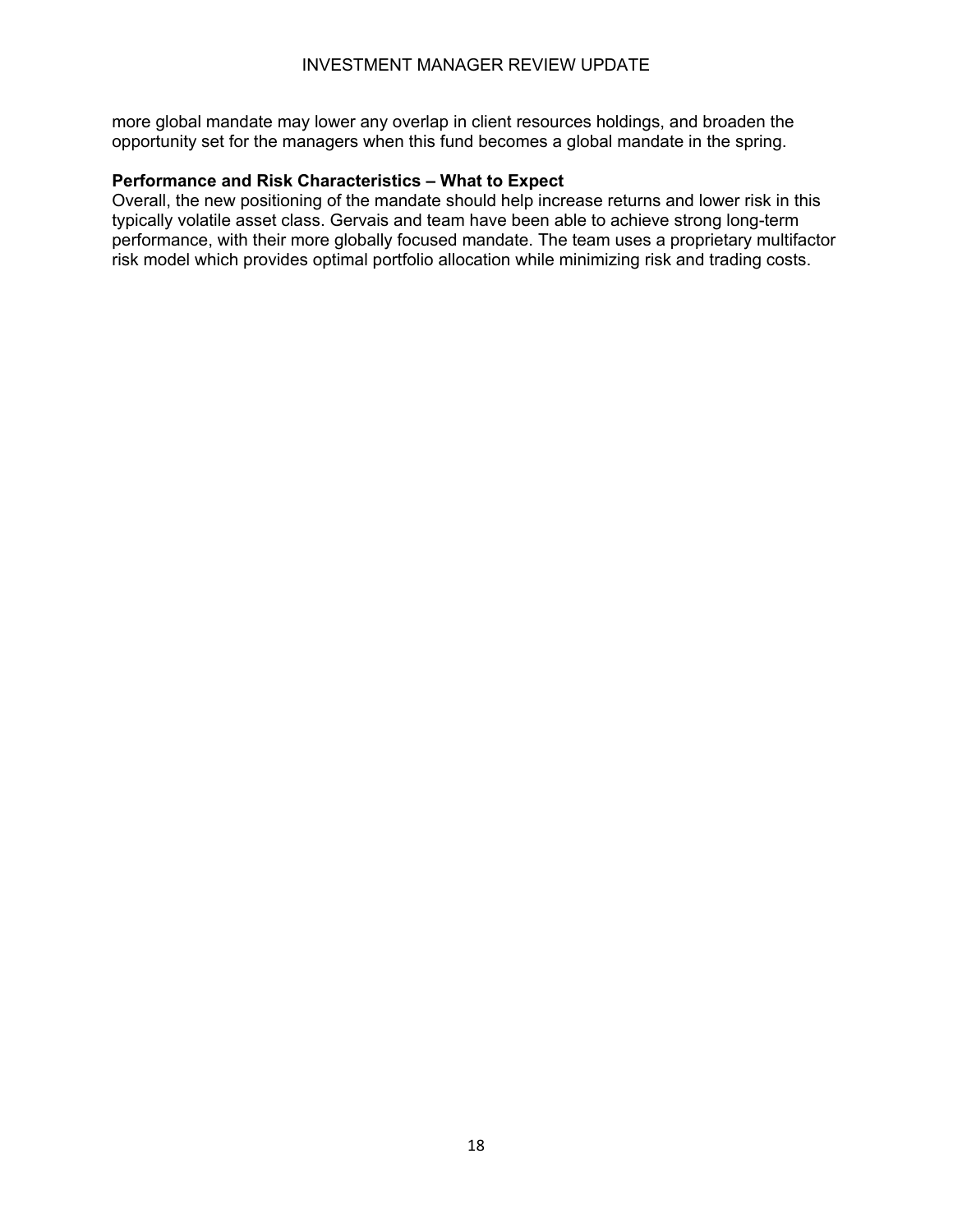more global mandate may lower any overlap in client resources holdings, and broaden the opportunity set for the managers when this fund becomes a global mandate in the spring.

#### **Performance and Risk Characteristics – What to Expect**

Overall, the new positioning of the mandate should help increase returns and lower risk in this typically volatile asset class. Gervais and team have been able to achieve strong long-term performance, with their more globally focused mandate. The team uses a proprietary multifactor risk model which provides optimal portfolio allocation while minimizing risk and trading costs.